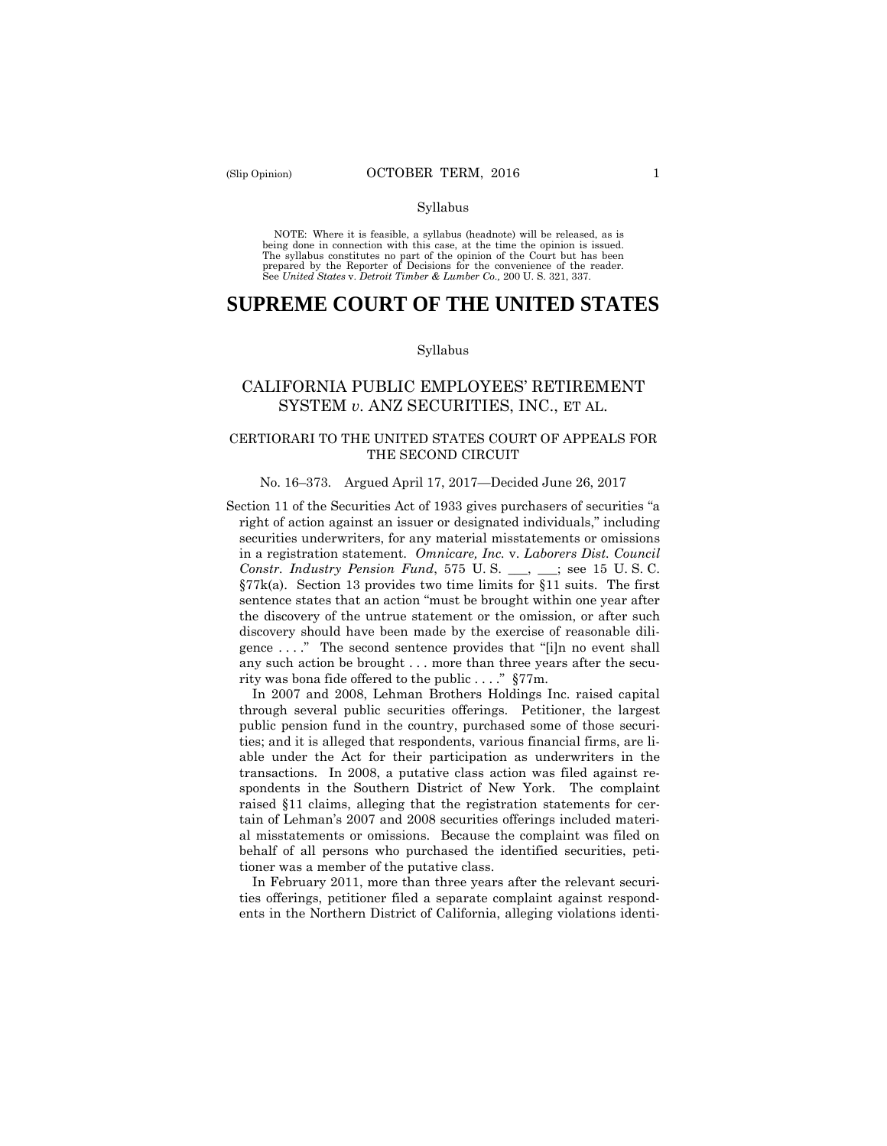#### Syllabus

 NOTE: Where it is feasible, a syllabus (headnote) will be released, as is being done in connection with this case, at the time the opinion is issued. The syllabus constitutes no part of the opinion of the Court but has been<br>prepared by the Reporter of Decisions for the convenience of the reader.<br>See United States v. Detroit Timber & Lumber Co., 200 U. S. 321, 337.

# **SUPREME COURT OF THE UNITED STATES**

#### Syllabus

# CALIFORNIA PUBLIC EMPLOYEES' RETIREMENT SYSTEM *v*. ANZ SECURITIES, INC., ET AL.

# CERTIORARI TO THE UNITED STATES COURT OF APPEALS FOR THE SECOND CIRCUIT

# No. 16–373. Argued April 17, 2017—Decided June 26, 2017

Section 11 of the Securities Act of 1933 gives purchasers of securities "a right of action against an issuer or designated individuals," including securities underwriters, for any material misstatements or omissions in a registration statement. *Omnicare, Inc.* v. *Laborers Dist. Council Constr. Industry Pension Fund*, 575 U. S. \_\_\_, \_\_\_; see 15 U. S. C. §77k(a). Section 13 provides two time limits for §11 suits. The first sentence states that an action "must be brought within one year after the discovery of the untrue statement or the omission, or after such discovery should have been made by the exercise of reasonable diligence . . . ." The second sentence provides that "[i]n no event shall any such action be brought . . . more than three years after the security was bona fide offered to the public . . . ." §77m.

In 2007 and 2008, Lehman Brothers Holdings Inc. raised capital through several public securities offerings. Petitioner, the largest public pension fund in the country, purchased some of those securities; and it is alleged that respondents, various financial firms, are liable under the Act for their participation as underwriters in the transactions. In 2008, a putative class action was filed against respondents in the Southern District of New York. The complaint raised §11 claims, alleging that the registration statements for certain of Lehman's 2007 and 2008 securities offerings included material misstatements or omissions. Because the complaint was filed on behalf of all persons who purchased the identified securities, petitioner was a member of the putative class.

In February 2011, more than three years after the relevant securities offerings, petitioner filed a separate complaint against respondents in the Northern District of California, alleging violations identi-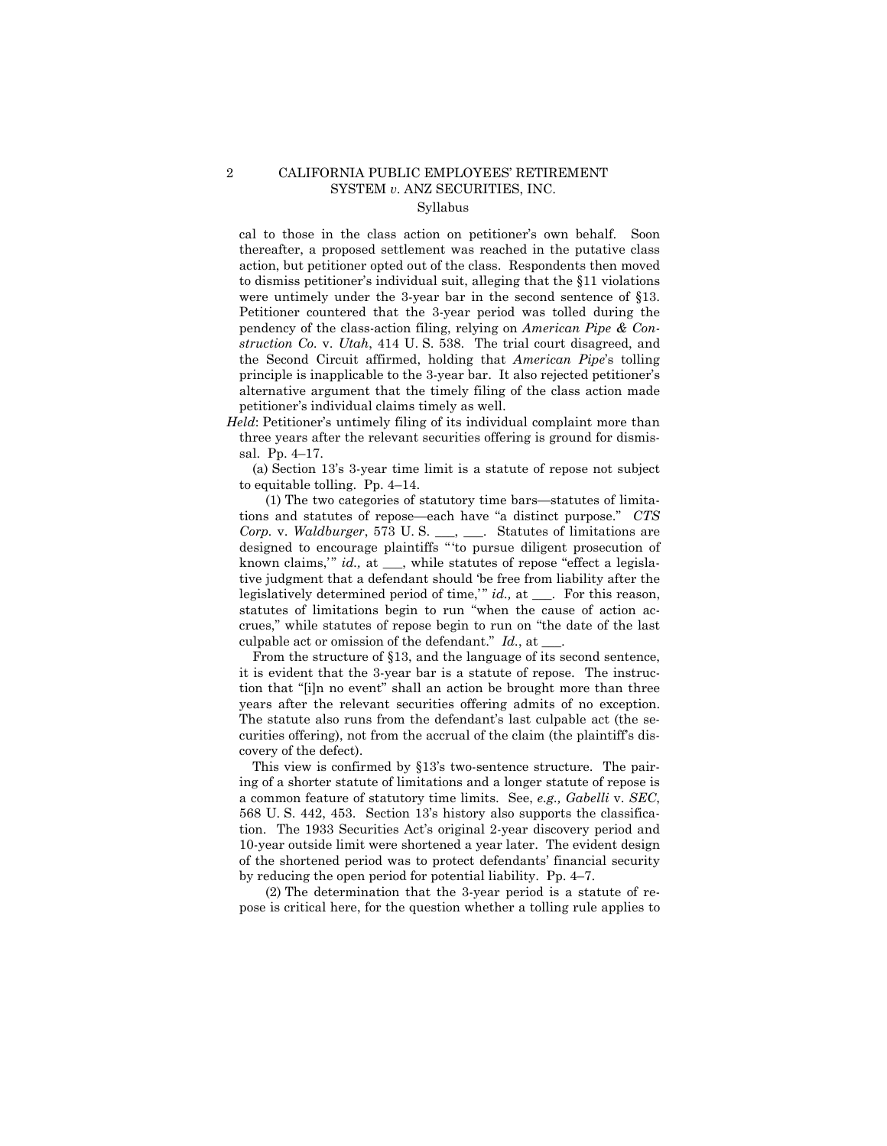# 2 CALIFORNIA PUBLIC EMPLOYEES' RETIREMENT SYSTEM *v*. ANZ SECURITIES, INC. Syllabus

# cal to those in the class action on petitioner's own behalf. Soon thereafter, a proposed settlement was reached in the putative class action, but petitioner opted out of the class. Respondents then moved to dismiss petitioner's individual suit, alleging that the §11 violations were untimely under the 3-year bar in the second sentence of §13. Petitioner countered that the 3-year period was tolled during the pendency of the class-action filing, relying on *American Pipe & Construction Co.* v. *Utah*, 414 U. S. 538. The trial court disagreed, and the Second Circuit affirmed, holding that *American Pipe*'s tolling principle is inapplicable to the 3-year bar. It also rejected petitioner's alternative argument that the timely filing of the class action made

petitioner's individual claims timely as well. *Held*: Petitioner's untimely filing of its individual complaint more than three years after the relevant securities offering is ground for dismissal. Pp. 4–17.

(a) Section 13's 3-year time limit is a statute of repose not subject to equitable tolling. Pp. 4–14.

(1) The two categories of statutory time bars—statutes of limitations and statutes of repose—each have "a distinct purpose." *CTS Corp.* v. *Waldburger*, 573 U. S. \_\_\_, \_\_\_. Statutes of limitations are designed to encourage plaintiffs " 'to pursue diligent prosecution of known claims," *id.*, at \_\_\_, while statutes of repose "effect a legislative judgment that a defendant should 'be free from liability after the legislatively determined period of time," *id.*, at \_\_\_. For this reason, statutes of limitations begin to run "when the cause of action accrues," while statutes of repose begin to run on "the date of the last culpable act or omission of the defendant." *Id.*, at \_\_\_.

From the structure of §13, and the language of its second sentence, it is evident that the 3-year bar is a statute of repose. The instruction that "[i]n no event" shall an action be brought more than three years after the relevant securities offering admits of no exception. The statute also runs from the defendant's last culpable act (the securities offering), not from the accrual of the claim (the plaintiff's discovery of the defect).

This view is confirmed by §13's two-sentence structure. The pairing of a shorter statute of limitations and a longer statute of repose is a common feature of statutory time limits. See, *e.g., Gabelli* v. *SEC*, 568 U. S. 442, 453. Section 13's history also supports the classification. The 1933 Securities Act's original 2-year discovery period and 10-year outside limit were shortened a year later. The evident design of the shortened period was to protect defendants' financial security by reducing the open period for potential liability. Pp. 4–7.

(2) The determination that the 3-year period is a statute of repose is critical here, for the question whether a tolling rule applies to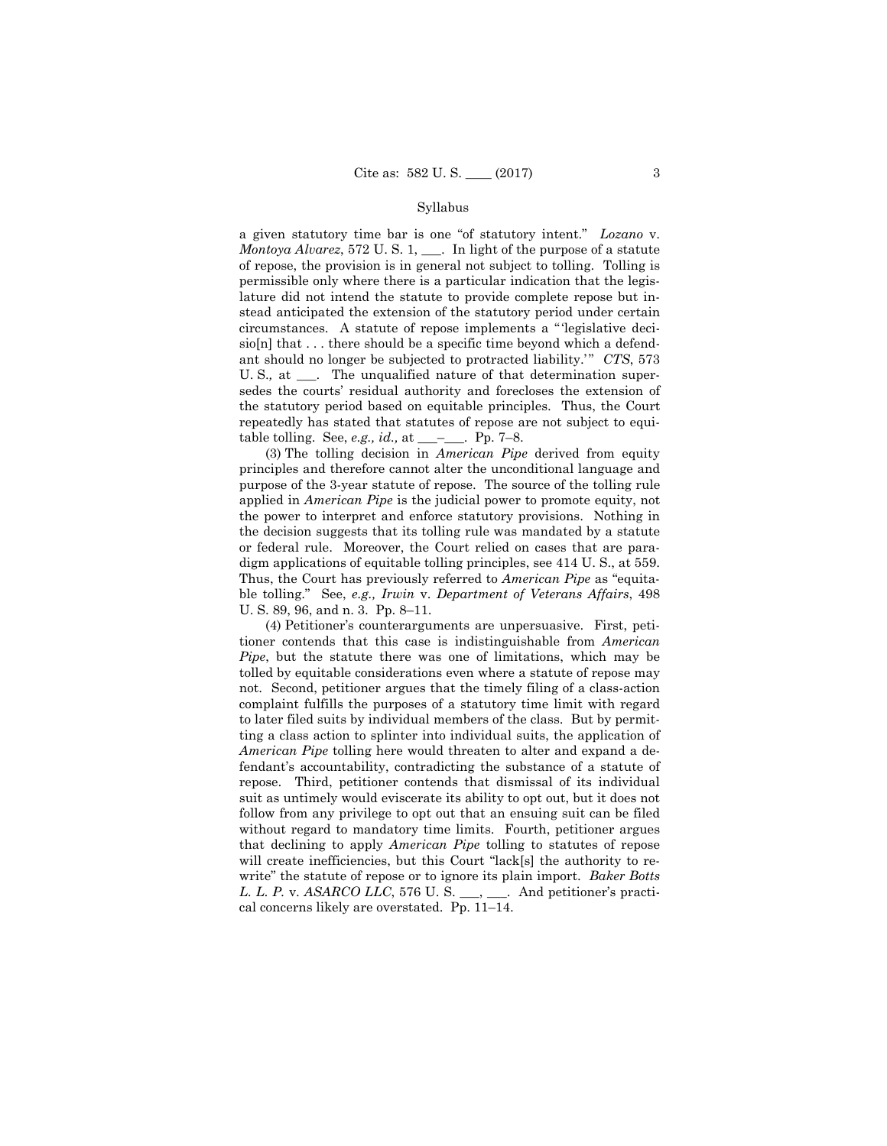#### Syllabus

a given statutory time bar is one "of statutory intent." *Lozano* v. *Montoya Alvarez*, 572 U. S. 1, \_\_\_. In light of the purpose of a statute of repose, the provision is in general not subject to tolling. Tolling is permissible only where there is a particular indication that the legislature did not intend the statute to provide complete repose but instead anticipated the extension of the statutory period under certain circumstances. A statute of repose implements a " 'legislative decisio[n] that . . . there should be a specific time beyond which a defendant should no longer be subjected to protracted liability.'" CTS, 573 U. S.*,* at \_\_\_. The unqualified nature of that determination supersedes the courts' residual authority and forecloses the extension of the statutory period based on equitable principles. Thus, the Court repeatedly has stated that statutes of repose are not subject to equitable tolling. See, *e.g., id.,* at \_\_\_\_\_. Pp. 7-8.

(3) The tolling decision in *American Pipe* derived from equity principles and therefore cannot alter the unconditional language and purpose of the 3-year statute of repose. The source of the tolling rule applied in *American Pipe* is the judicial power to promote equity, not the power to interpret and enforce statutory provisions. Nothing in the decision suggests that its tolling rule was mandated by a statute or federal rule. Moreover, the Court relied on cases that are paradigm applications of equitable tolling principles, see 414 U. S., at 559. Thus, the Court has previously referred to *American Pipe* as "equitable tolling." See, *e.g., Irwin* v. *Department of Veterans Affairs*, 498 U. S. 89, 96, and n. 3. Pp. 8–11.

 to later filed suits by individual members of the class. But by permit-(4) Petitioner's counterarguments are unpersuasive. First, petitioner contends that this case is indistinguishable from *American Pipe*, but the statute there was one of limitations, which may be tolled by equitable considerations even where a statute of repose may not. Second, petitioner argues that the timely filing of a class-action complaint fulfills the purposes of a statutory time limit with regard ting a class action to splinter into individual suits, the application of *American Pipe* tolling here would threaten to alter and expand a defendant's accountability, contradicting the substance of a statute of repose. Third, petitioner contends that dismissal of its individual suit as untimely would eviscerate its ability to opt out, but it does not follow from any privilege to opt out that an ensuing suit can be filed without regard to mandatory time limits. Fourth, petitioner argues that declining to apply *American Pipe* tolling to statutes of repose will create inefficiencies, but this Court "lack[s] the authority to rewrite" the statute of repose or to ignore its plain import. *Baker Botts L. L. P.* v. *ASARCO LLC*, 576 U. S. \_\_\_, \_\_\_. And petitioner's practical concerns likely are overstated. Pp. 11–14.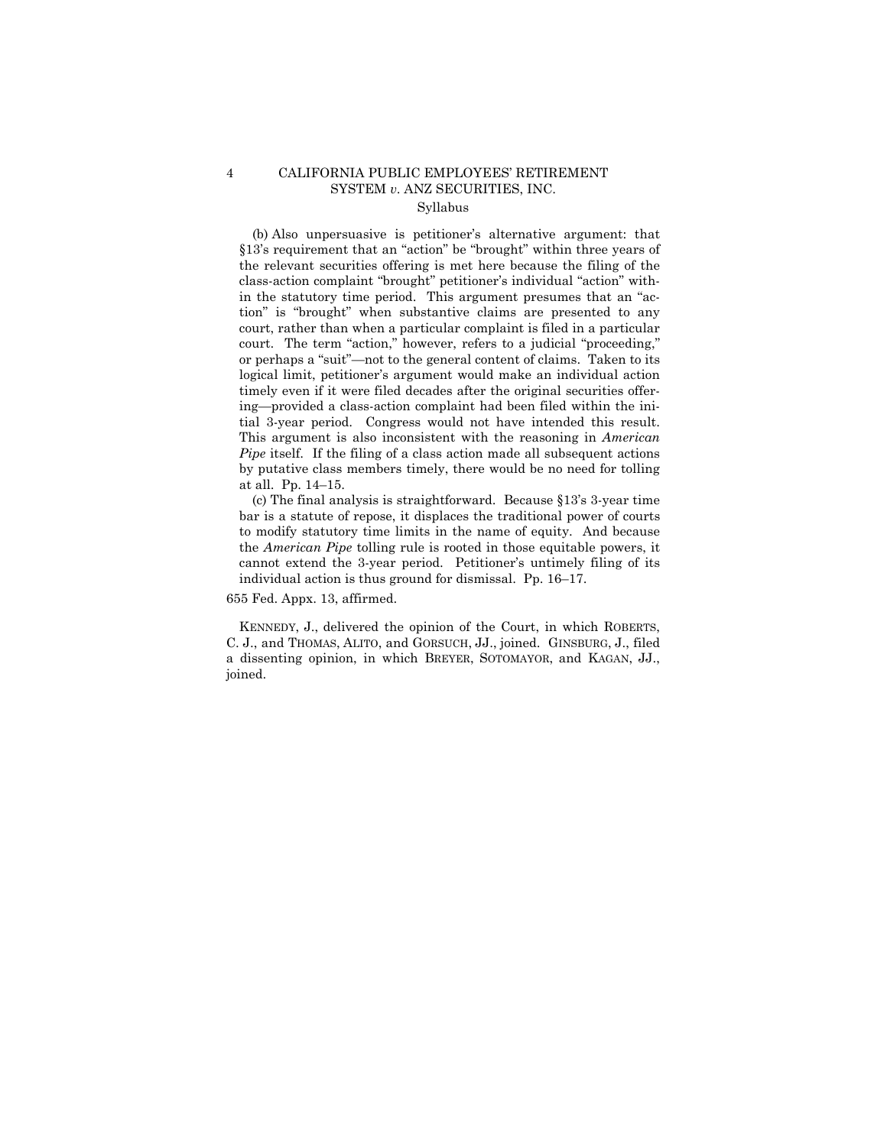# 4 CALIFORNIA PUBLIC EMPLOYEES' RETIREMENT SYSTEM *v*. ANZ SECURITIES, INC. Syllabus

 §13's requirement that an "action" be "brought" within three years of (b) Also unpersuasive is petitioner's alternative argument: that the relevant securities offering is met here because the filing of the class-action complaint "brought" petitioner's individual "action" within the statutory time period. This argument presumes that an "action" is "brought" when substantive claims are presented to any court, rather than when a particular complaint is filed in a particular court. The term "action," however, refers to a judicial "proceeding," or perhaps a "suit"—not to the general content of claims. Taken to its logical limit, petitioner's argument would make an individual action timely even if it were filed decades after the original securities offering—provided a class-action complaint had been filed within the initial 3-year period. Congress would not have intended this result. This argument is also inconsistent with the reasoning in *American Pipe* itself. If the filing of a class action made all subsequent actions by putative class members timely, there would be no need for tolling at all. Pp. 14–15.

(c) The final analysis is straightforward. Because §13's 3-year time bar is a statute of repose, it displaces the traditional power of courts to modify statutory time limits in the name of equity. And because the *American Pipe* tolling rule is rooted in those equitable powers, it cannot extend the 3-year period. Petitioner's untimely filing of its individual action is thus ground for dismissal. Pp. 16–17.

655 Fed. Appx. 13, affirmed.

 KENNEDY, J., delivered the opinion of the Court, in which ROBERTS, C. J., and THOMAS, ALITO, and GORSUCH, JJ., joined. GINSBURG, J., filed a dissenting opinion, in which BREYER, SOTOMAYOR, and KAGAN, JJ., joined.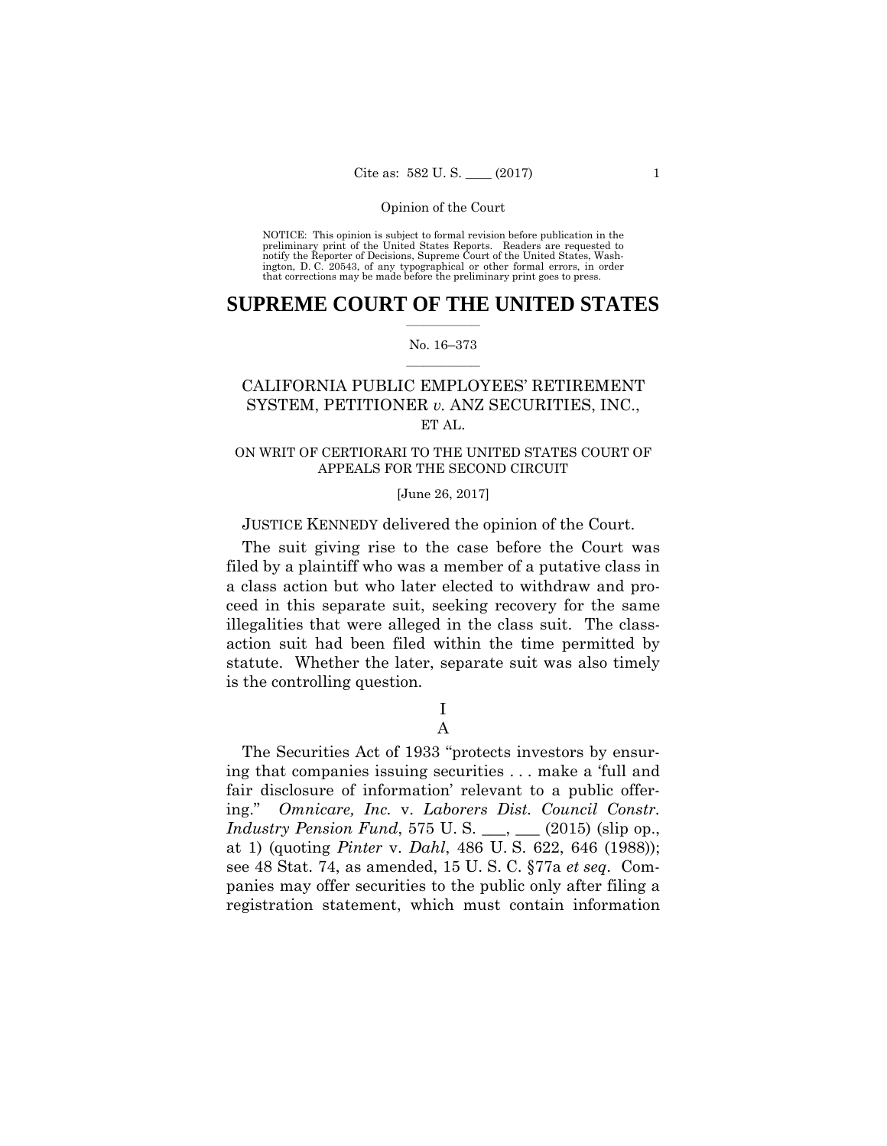preliminary print of the United States Reports. Readers are requested to notify the Reporter of Decisions, Supreme Court of the United States, Wash- ington, D. C. 20543, of any typographical or other formal errors, in order that corrections may be made before the preliminary print goes to press. NOTICE: This opinion is subject to formal revision before publication in the

# $\frac{1}{2}$  , where  $\frac{1}{2}$ **SUPREME COURT OF THE UNITED STATES**

#### $\frac{1}{2}$  ,  $\frac{1}{2}$  ,  $\frac{1}{2}$  ,  $\frac{1}{2}$  ,  $\frac{1}{2}$  ,  $\frac{1}{2}$ No. 16–373

# CALIFORNIA PUBLIC EMPLOYEES' RETIREMENT SYSTEM, PETITIONER *v.* ANZ SECURITIES, INC., ET AL.

# ON WRIT OF CERTIORARI TO THE UNITED STATES COURT OF APPEALS FOR THE SECOND CIRCUIT

## [June 26, 2017]

# JUSTICE KENNEDY delivered the opinion of the Court.

The suit giving rise to the case before the Court was filed by a plaintiff who was a member of a putative class in a class action but who later elected to withdraw and proceed in this separate suit, seeking recovery for the same illegalities that were alleged in the class suit. The classaction suit had been filed within the time permitted by statute. Whether the later, separate suit was also timely is the controlling question.

# I A

The Securities Act of 1933 "protects investors by ensuring that companies issuing securities . . . make a 'full and fair disclosure of information' relevant to a public offering." *Omnicare, Inc.* v. *Laborers Dist. Council Constr. Industry Pension Fund*, 575 U.S. \_\_\_, \_\_\_ (2015) (slip op., at 1) (quoting *Pinter* v. *Dahl*, 486 U. S. 622, 646 (1988)); see 48 Stat. 74, as amended, 15 U. S. C. §77a *et seq*. Companies may offer securities to the public only after filing a registration statement, which must contain information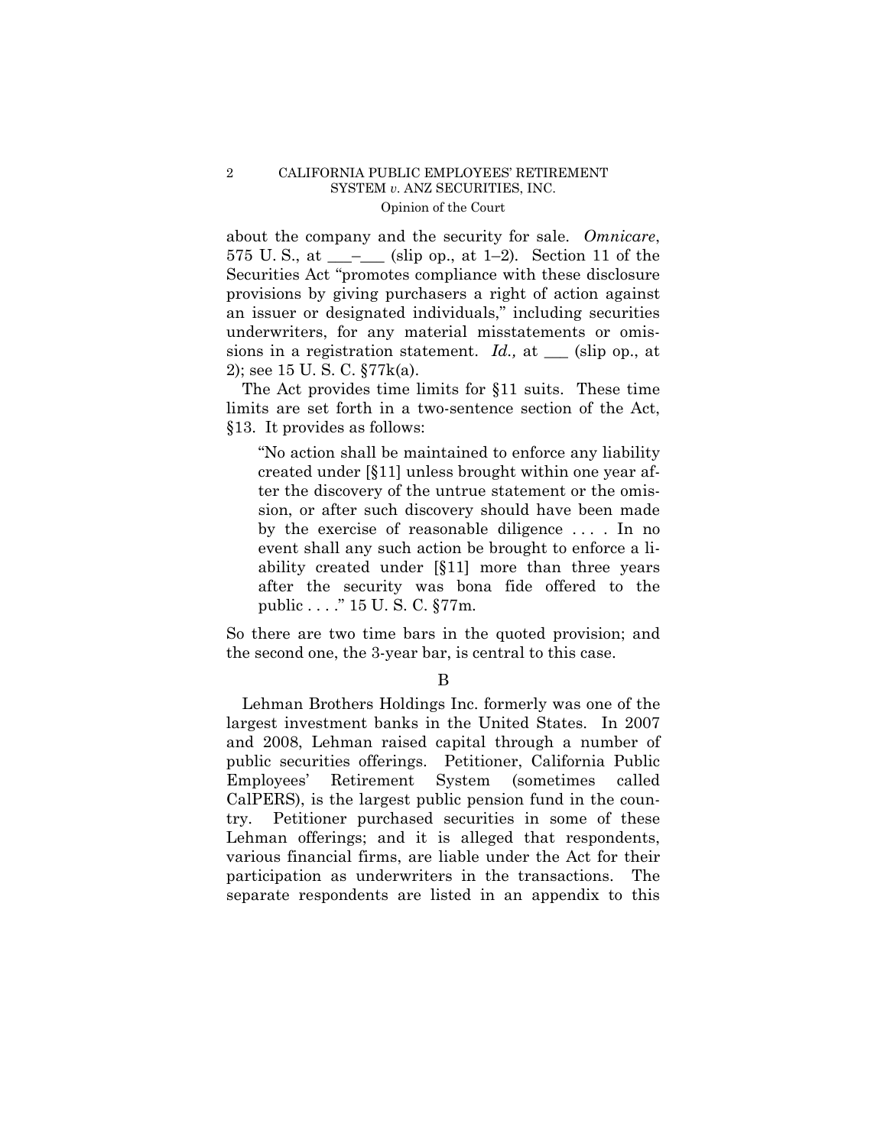# 2 CALIFORNIA PUBLIC EMPLOYEES' RETIREMENT SYSTEM *v*. ANZ SECURITIES, INC. Opinion of the Court

about the company and the security for sale. *Omnicare*, 575 U. S., at \_\_\_–\_\_\_ (slip op., at 1–2)*.* Section 11 of the Securities Act "promotes compliance with these disclosure provisions by giving purchasers a right of action against an issuer or designated individuals," including securities underwriters, for any material misstatements or omissions in a registration statement. *Id.,* at \_\_\_ (slip op., at 2); see 15 U. S. C. §77k(a).

The Act provides time limits for §11 suits. These time limits are set forth in a two-sentence section of the Act, §13. It provides as follows:

"No action shall be maintained to enforce any liability created under [§11] unless brought within one year after the discovery of the untrue statement or the omission, or after such discovery should have been made by the exercise of reasonable diligence . . . . In no event shall any such action be brought to enforce a liability created under [§11] more than three years after the security was bona fide offered to the public . . . ." 15 U. S. C. §77m*.* 

So there are two time bars in the quoted provision; and the second one, the 3-year bar, is central to this case.

B

Lehman Brothers Holdings Inc. formerly was one of the largest investment banks in the United States. In 2007 and 2008, Lehman raised capital through a number of public securities offerings. Petitioner, California Public Employees' Retirement System (sometimes called CalPERS), is the largest public pension fund in the country. Petitioner purchased securities in some of these Lehman offerings; and it is alleged that respondents, various financial firms, are liable under the Act for their participation as underwriters in the transactions. The separate respondents are listed in an appendix to this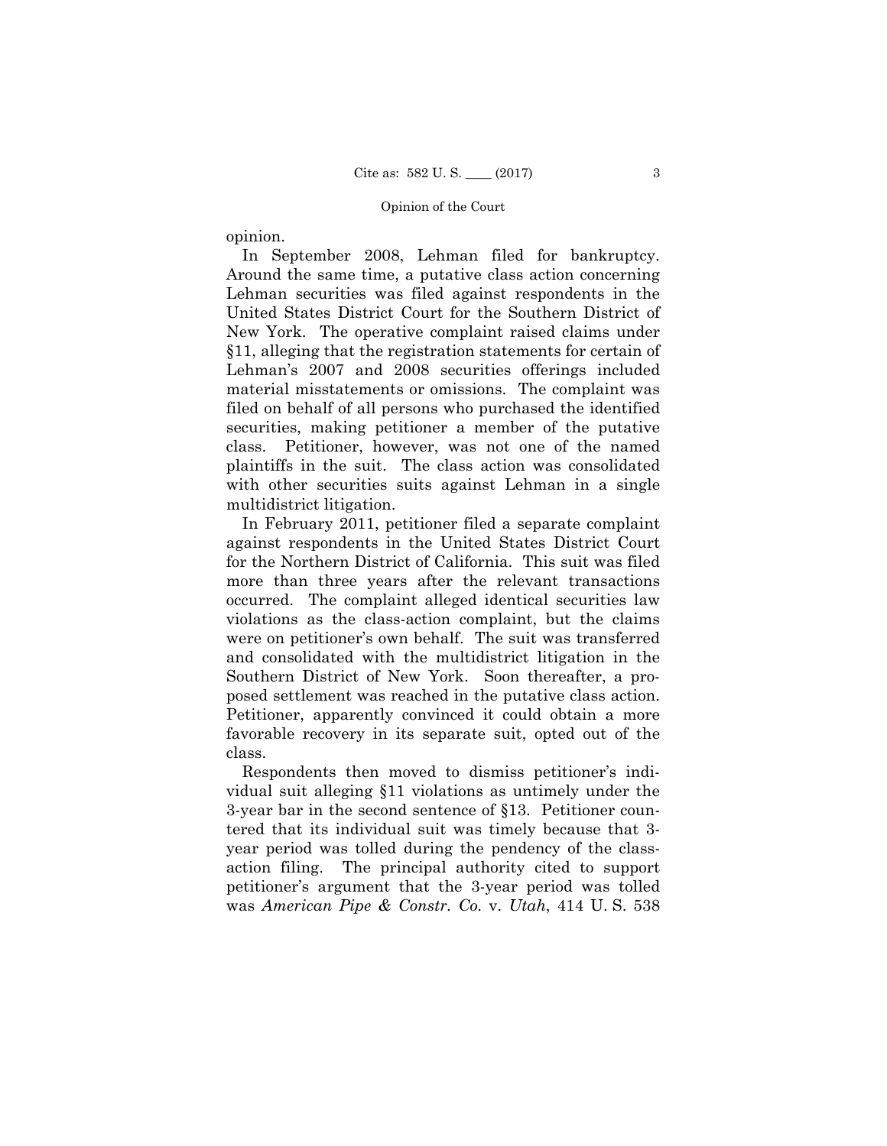opinion.

 United States District Court for the Southern District of In September 2008, Lehman filed for bankruptcy. Around the same time, a putative class action concerning Lehman securities was filed against respondents in the New York. The operative complaint raised claims under §11, alleging that the registration statements for certain of Lehman's 2007 and 2008 securities offerings included material misstatements or omissions. The complaint was filed on behalf of all persons who purchased the identified securities, making petitioner a member of the putative class. Petitioner, however, was not one of the named plaintiffs in the suit. The class action was consolidated with other securities suits against Lehman in a single multidistrict litigation.

In February 2011, petitioner filed a separate complaint against respondents in the United States District Court for the Northern District of California. This suit was filed more than three years after the relevant transactions occurred. The complaint alleged identical securities law violations as the class-action complaint, but the claims were on petitioner's own behalf. The suit was transferred and consolidated with the multidistrict litigation in the Southern District of New York. Soon thereafter, a proposed settlement was reached in the putative class action. Petitioner, apparently convinced it could obtain a more favorable recovery in its separate suit, opted out of the class.

Respondents then moved to dismiss petitioner's individual suit alleging §11 violations as untimely under the 3-year bar in the second sentence of §13. Petitioner countered that its individual suit was timely because that 3 year period was tolled during the pendency of the classaction filing. The principal authority cited to support petitioner's argument that the 3-year period was tolled was *American Pipe & Constr. Co.* v. *Utah*, 414 U. S. 538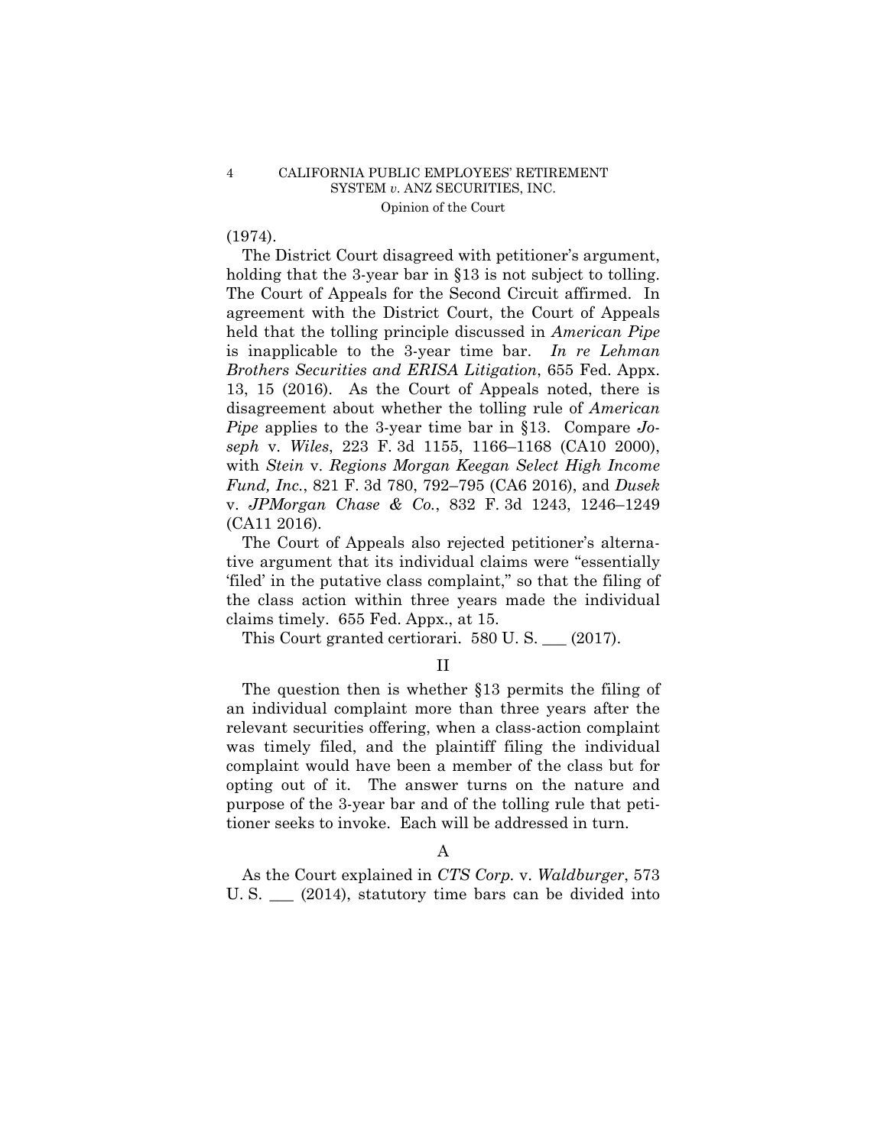# (1974).

The District Court disagreed with petitioner's argument, holding that the 3-year bar in §13 is not subject to tolling. The Court of Appeals for the Second Circuit affirmed. In agreement with the District Court, the Court of Appeals held that the tolling principle discussed in *American Pipe*  is inapplicable to the 3-year time bar. *In re Lehman Brothers Securities and ERISA Litigation*, 655 Fed. Appx. 13, 15 (2016). As the Court of Appeals noted, there is disagreement about whether the tolling rule of *American Pipe* applies to the 3-year time bar in §13. Compare *Joseph* v. *Wiles*, 223 F. 3d 1155, 1166–1168 (CA10 2000), with *Stein* v. *Regions Morgan Keegan Select High Income Fund, Inc.*, 821 F. 3d 780, 792–795 (CA6 2016), and *Dusek*  v. *JPMorgan Chase & Co.*, 832 F. 3d 1243, 1246–1249 (CA11 2016).

The Court of Appeals also rejected petitioner's alternative argument that its individual claims were "essentially 'filed' in the putative class complaint," so that the filing of the class action within three years made the individual claims timely. 655 Fed. Appx., at 15.

This Court granted certiorari. 580 U. S. \_\_\_ (2017).

# II

The question then is whether §13 permits the filing of an individual complaint more than three years after the relevant securities offering, when a class-action complaint was timely filed, and the plaintiff filing the individual complaint would have been a member of the class but for opting out of it. The answer turns on the nature and purpose of the 3-year bar and of the tolling rule that petitioner seeks to invoke. Each will be addressed in turn.

# A

As the Court explained in *CTS Corp.* v. *Waldburger*, 573 U. S.  $\_\_$  (2014), statutory time bars can be divided into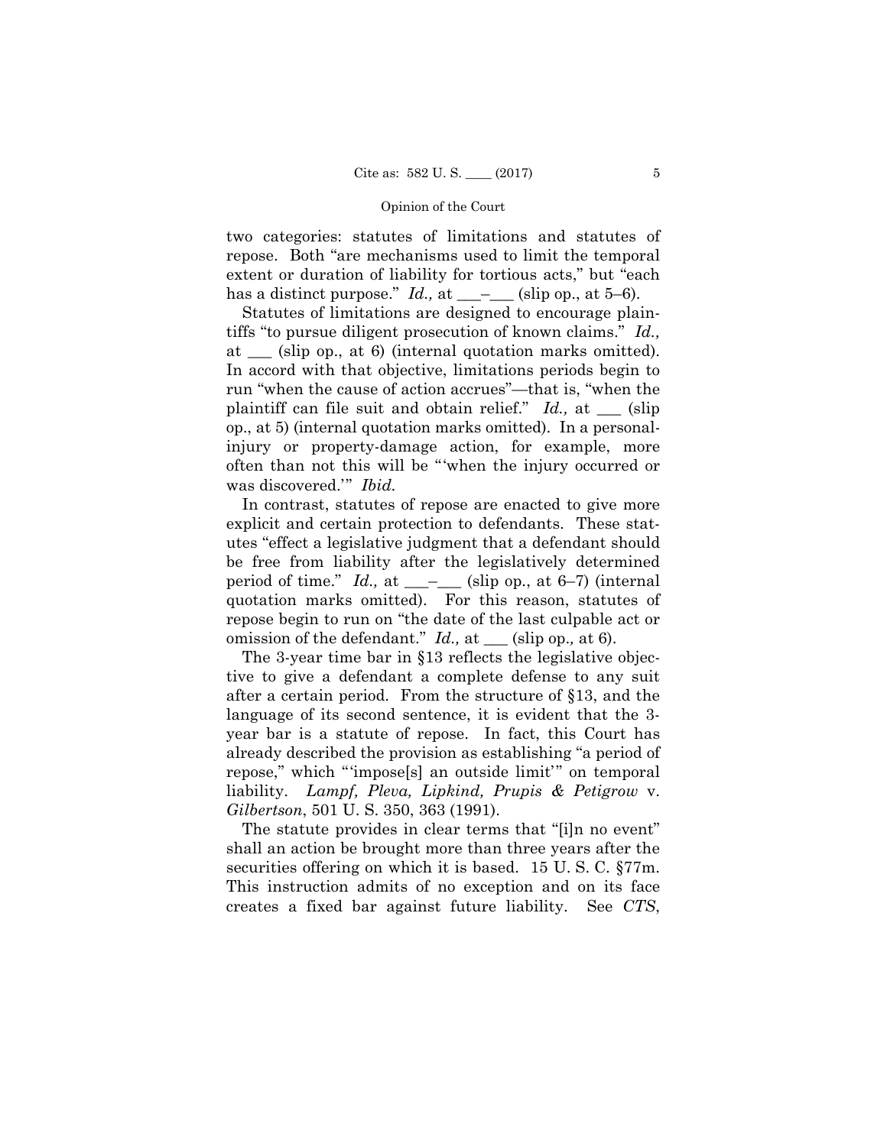two categories: statutes of limitations and statutes of repose. Both "are mechanisms used to limit the temporal extent or duration of liability for tortious acts," but "each has a distinct purpose."  $Id.$ , at  $\_\_\_\_\_\_$  (slip op., at 5–6).

 injury or property-damage action, for example, more Statutes of limitations are designed to encourage plaintiffs "to pursue diligent prosecution of known claims." *Id.,*  at \_\_\_ (slip op., at 6) (internal quotation marks omitted). In accord with that objective, limitations periods begin to run "when the cause of action accrues"—that is, "when the plaintiff can file suit and obtain relief." *Id.,* at \_\_\_ (slip op., at 5) (internal quotation marks omitted). In a personaloften than not this will be "'when the injury occurred or was discovered.'" *Ibid.* 

In contrast, statutes of repose are enacted to give more explicit and certain protection to defendants. These statutes "effect a legislative judgment that a defendant should be free from liability after the legislatively determined period of time."  $Id.$ , at  $\rule{1em}{0.75mm} - \qquad$  (slip op., at 6–7) (internal quotation marks omitted). For this reason, statutes of repose begin to run on "the date of the last culpable act or omission of the defendant." *Id.,* at \_\_\_ (slip op.*,* at 6).

The 3-year time bar in §13 reflects the legislative objective to give a defendant a complete defense to any suit after a certain period. From the structure of §13, and the language of its second sentence, it is evident that the 3 year bar is a statute of repose. In fact, this Court has already described the provision as establishing "a period of repose," which "'impose[s] an outside limit'" on temporal liability. *Lampf, Pleva, Lipkind, Prupis & Petigrow* v. *Gilbertson*, 501 U. S. 350, 363 (1991).

The statute provides in clear terms that "[i]n no event" shall an action be brought more than three years after the securities offering on which it is based. 15 U. S. C. §77m. This instruction admits of no exception and on its face creates a fixed bar against future liability. See *CTS*,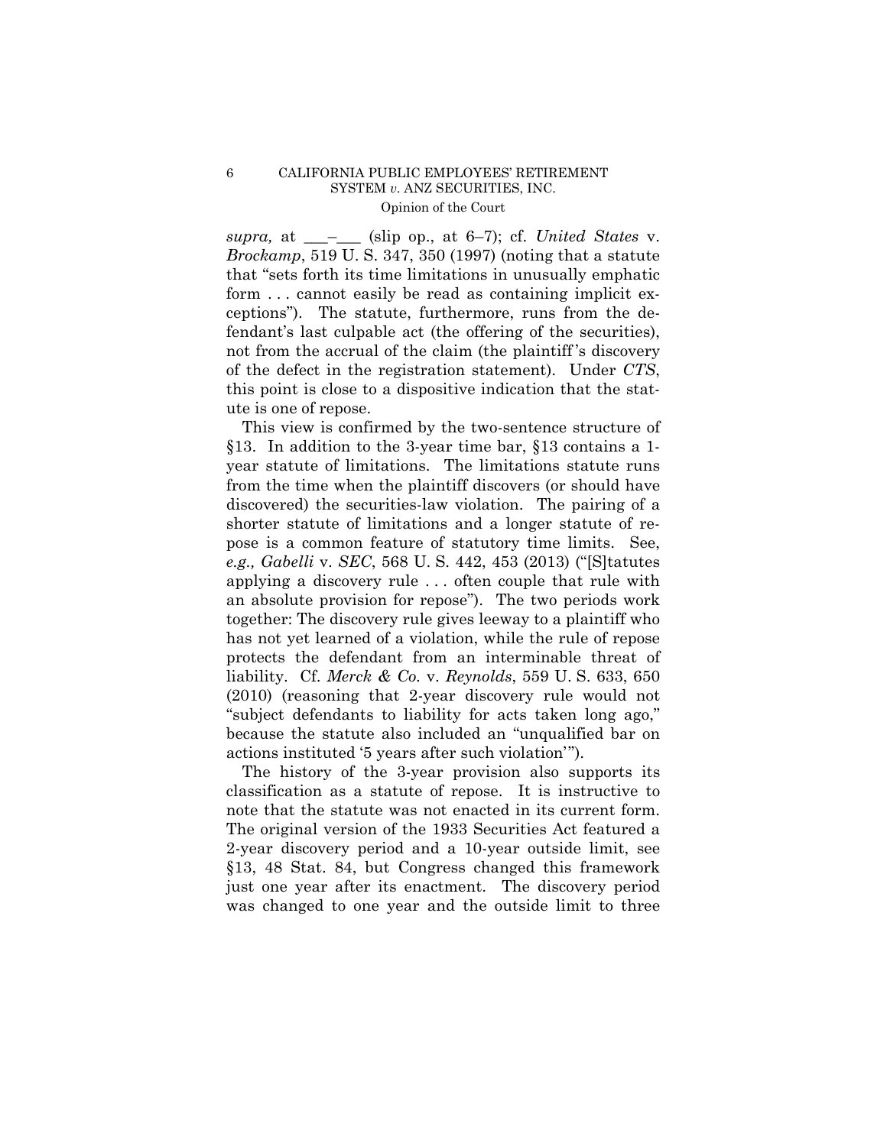# 6 CALIFORNIA PUBLIC EMPLOYEES' RETIREMENT SYSTEM *v*. ANZ SECURITIES, INC. Opinion of the Court

*supra,* at \_\_\_–\_\_\_ (slip op., at 6–7); cf. *United States* v. *Brockamp*, 519 U. S. 347, 350 (1997) (noting that a statute that "sets forth its time limitations in unusually emphatic form ... cannot easily be read as containing implicit exceptions"). The statute, furthermore, runs from the defendant's last culpable act (the offering of the securities), not from the accrual of the claim (the plaintiff's discovery of the defect in the registration statement). Under *CTS*, this point is close to a dispositive indication that the statute is one of repose.

This view is confirmed by the two-sentence structure of §13. In addition to the 3-year time bar, §13 contains a 1 year statute of limitations. The limitations statute runs from the time when the plaintiff discovers (or should have discovered) the securities-law violation. The pairing of a shorter statute of limitations and a longer statute of repose is a common feature of statutory time limits. See, *e.g., Gabelli* v. *SEC*, 568 U. S. 442, 453 (2013) ("[S]tatutes applying a discovery rule . . . often couple that rule with an absolute provision for repose"). The two periods work together: The discovery rule gives leeway to a plaintiff who has not yet learned of a violation, while the rule of repose protects the defendant from an interminable threat of liability. Cf. *Merck & Co.* v. *Reynolds*, 559 U. S. 633, 650 (2010) (reasoning that 2-year discovery rule would not "subject defendants to liability for acts taken long ago," because the statute also included an "unqualified bar on actions instituted '5 years after such violation'").

 note that the statute was not enacted in its current form. The original version of the 1933 Securities Act featured a The history of the 3-year provision also supports its classification as a statute of repose. It is instructive to 2-year discovery period and a 10-year outside limit, see §13, 48 Stat. 84, but Congress changed this framework just one year after its enactment. The discovery period was changed to one year and the outside limit to three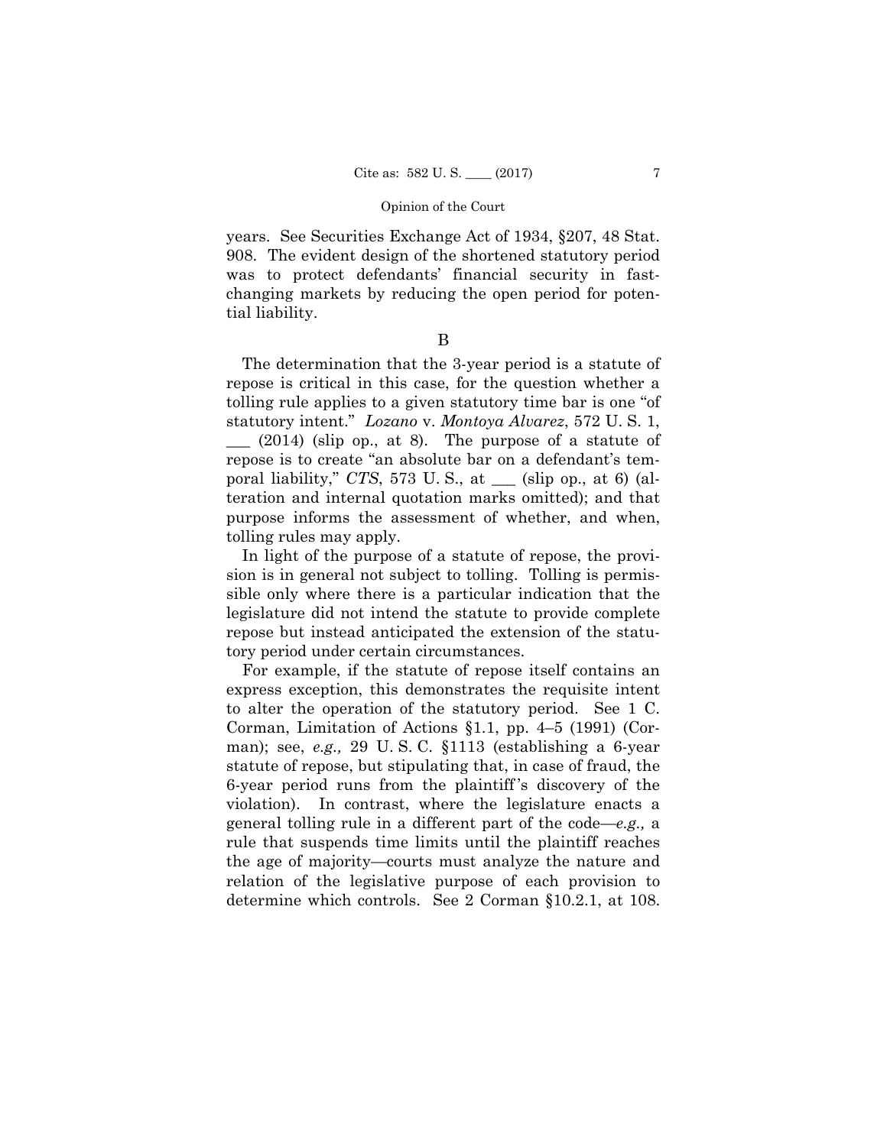years. See Securities Exchange Act of 1934, §207, 48 Stat. 908. The evident design of the shortened statutory period was to protect defendants' financial security in fastchanging markets by reducing the open period for potential liability.

B

The determination that the 3-year period is a statute of repose is critical in this case, for the question whether a tolling rule applies to a given statutory time bar is one "of statutory intent." *Lozano* v. *Montoya Alvarez*, 572 U. S. 1,  $(2014)$  (slip op., at 8). The purpose of a statute of repose is to create "an absolute bar on a defendant's temporal liability," *CTS*, 573 U. S., at \_\_\_ (slip op., at 6) (alteration and internal quotation marks omitted); and that purpose informs the assessment of whether, and when, tolling rules may apply.

In light of the purpose of a statute of repose, the provision is in general not subject to tolling. Tolling is permissible only where there is a particular indication that the legislature did not intend the statute to provide complete repose but instead anticipated the extension of the statutory period under certain circumstances.

For example, if the statute of repose itself contains an express exception, this demonstrates the requisite intent to alter the operation of the statutory period. See 1 C. Corman, Limitation of Actions §1.1, pp. 4–5 (1991) (Corman); see, *e.g.,* 29 U. S. C. §1113 (establishing a 6-year statute of repose, but stipulating that, in case of fraud, the 6-year period runs from the plaintiff 's discovery of the violation). In contrast, where the legislature enacts a general tolling rule in a different part of the code—*e.g.,* a rule that suspends time limits until the plaintiff reaches the age of majority—courts must analyze the nature and relation of the legislative purpose of each provision to determine which controls. See 2 Corman §10.2.1, at 108.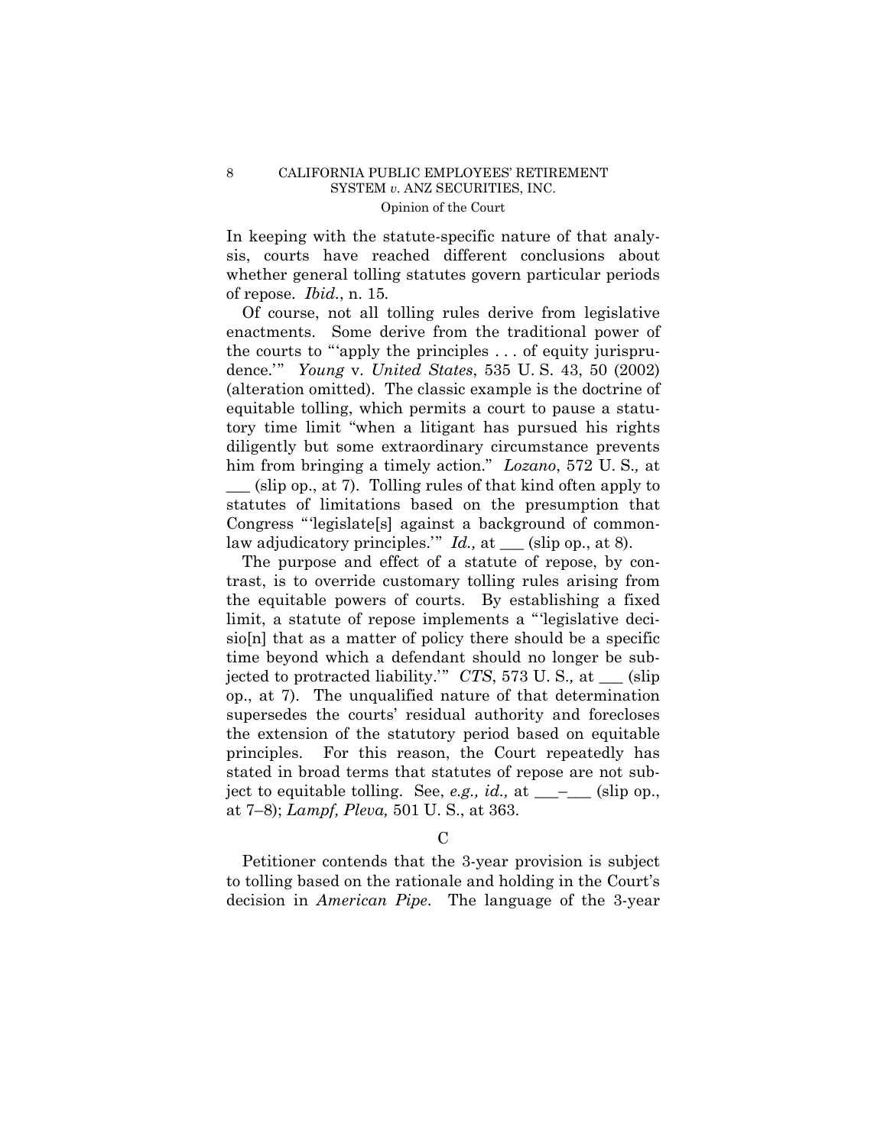# 8 CALIFORNIA PUBLIC EMPLOYEES' RETIREMENT SYSTEM *v*. ANZ SECURITIES, INC. Opinion of the Court

In keeping with the statute-specific nature of that analysis, courts have reached different conclusions about whether general tolling statutes govern particular periods of repose. *Ibid.*, n. 15*.* 

Of course, not all tolling rules derive from legislative enactments. Some derive from the traditional power of the courts to "'apply the principles . . . of equity jurisprudence.'" *Young* v. *United States*, 535 U. S. 43, 50 (2002) (alteration omitted). The classic example is the doctrine of equitable tolling, which permits a court to pause a statutory time limit "when a litigant has pursued his rights diligently but some extraordinary circumstance prevents him from bringing a timely action." *Lozano*, 572 U. S.*,* at \_\_\_ (slip op., at 7). Tolling rules of that kind often apply to statutes of limitations based on the presumption that Congress "'legislate[s] against a background of commonlaw adjudicatory principles." *Id.*, at \_\_\_ (slip op., at 8).

The purpose and effect of a statute of repose, by contrast, is to override customary tolling rules arising from the equitable powers of courts. By establishing a fixed limit, a statute of repose implements a "'legislative decisio[n] that as a matter of policy there should be a specific time beyond which a defendant should no longer be subjected to protracted liability.'" *CTS*, 573 U. S.*,* at \_\_\_ (slip op., at 7). The unqualified nature of that determination supersedes the courts' residual authority and forecloses the extension of the statutory period based on equitable principles. For this reason, the Court repeatedly has stated in broad terms that statutes of repose are not subject to equitable tolling. See, *e.g., id.*, at  $\_\_\_\_\_$  (slip op., at 7–8); *Lampf, Pleva,* 501 U. S., at 363.

Petitioner contends that the 3-year provision is subject to tolling based on the rationale and holding in the Court's decision in *American Pipe*. The language of the 3-year

 $\mathcal{C}$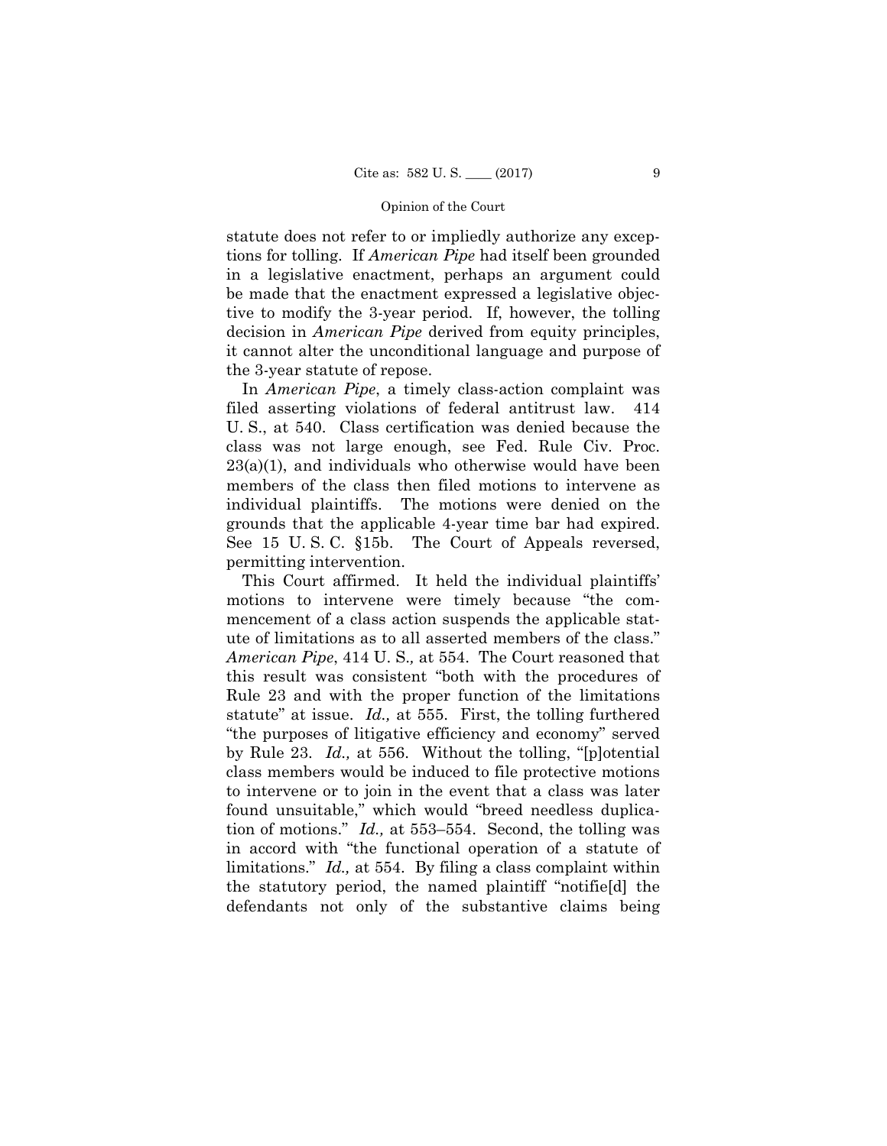statute does not refer to or impliedly authorize any exceptions for tolling. If *American Pipe* had itself been grounded in a legislative enactment, perhaps an argument could be made that the enactment expressed a legislative objective to modify the 3-year period. If, however, the tolling decision in *American Pipe* derived from equity principles, it cannot alter the unconditional language and purpose of the 3-year statute of repose.

In *American Pipe*, a timely class-action complaint was filed asserting violations of federal antitrust law. 414 U. S., at 540. Class certification was denied because the class was not large enough, see Fed. Rule Civ. Proc.  $23(a)(1)$ , and individuals who otherwise would have been members of the class then filed motions to intervene as individual plaintiffs. The motions were denied on the grounds that the applicable 4-year time bar had expired. See 15 U. S. C. §15b. The Court of Appeals reversed, permitting intervention.

This Court affirmed. It held the individual plaintiffs' motions to intervene were timely because "the commencement of a class action suspends the applicable statute of limitations as to all asserted members of the class." *American Pipe*, 414 U. S.*,* at 554. The Court reasoned that this result was consistent "both with the procedures of Rule 23 and with the proper function of the limitations statute" at issue. *Id.,* at 555. First, the tolling furthered "the purposes of litigative efficiency and economy" served by Rule 23. *Id.,* at 556. Without the tolling, "[p]otential class members would be induced to file protective motions to intervene or to join in the event that a class was later found unsuitable," which would "breed needless duplication of motions." *Id.,* at 553–554. Second, the tolling was in accord with "the functional operation of a statute of limitations." *Id.,* at 554. By filing a class complaint within the statutory period, the named plaintiff "notifie[d] the defendants not only of the substantive claims being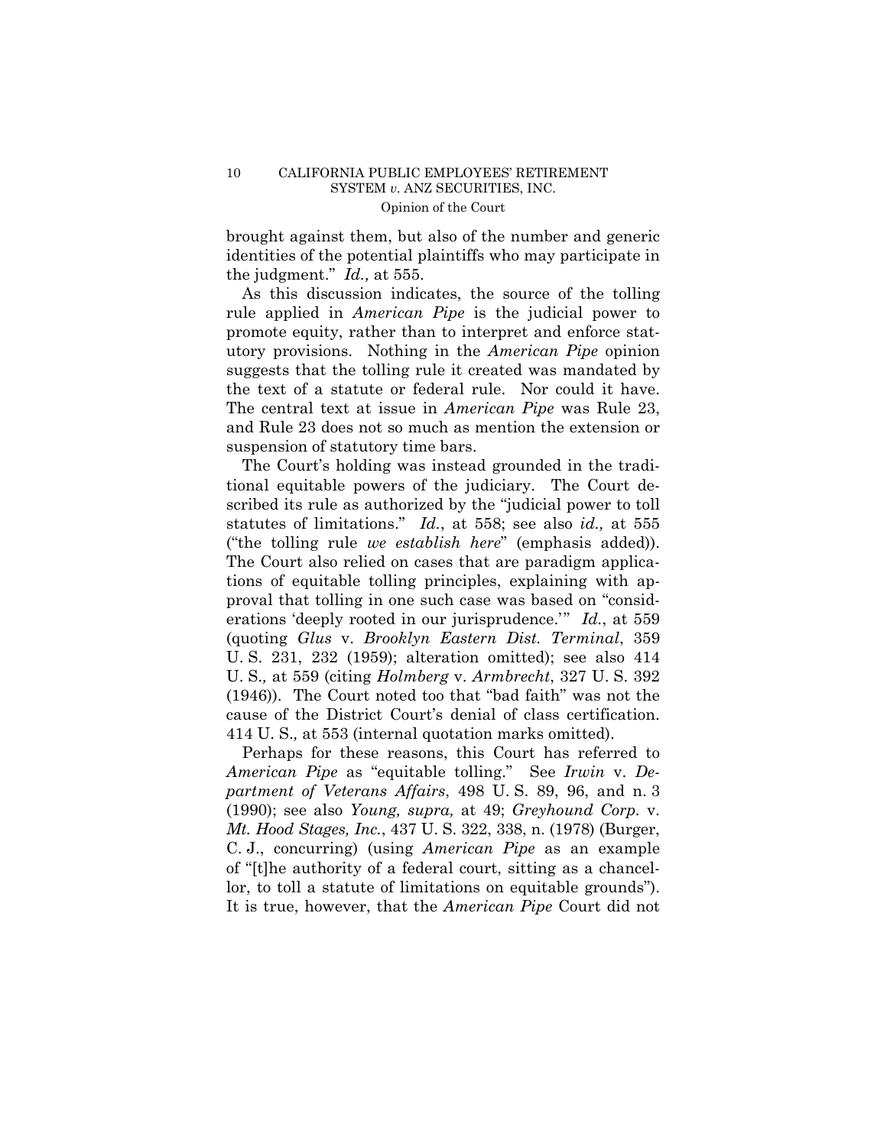brought against them, but also of the number and generic identities of the potential plaintiffs who may participate in the judgment." *Id.,* at 555.

As this discussion indicates, the source of the tolling rule applied in *American Pipe* is the judicial power to promote equity, rather than to interpret and enforce statutory provisions. Nothing in the *American Pipe* opinion suggests that the tolling rule it created was mandated by the text of a statute or federal rule. Nor could it have. The central text at issue in *American Pipe* was Rule 23, and Rule 23 does not so much as mention the extension or suspension of statutory time bars.

 statutes of limitations." *Id.*, at 558; see also *id.,* at 555 The Court's holding was instead grounded in the traditional equitable powers of the judiciary. The Court described its rule as authorized by the "judicial power to toll ("the tolling rule *we establish here*" (emphasis added)). The Court also relied on cases that are paradigm applications of equitable tolling principles, explaining with approval that tolling in one such case was based on "considerations 'deeply rooted in our jurisprudence.'" *Id.*, at 559 (quoting *Glus* v. *Brooklyn Eastern Dist. Terminal*, 359 U. S. 231, 232 (1959); alteration omitted); see also 414 U. S.*,* at 559 (citing *Holmberg* v. *Armbrecht*, 327 U. S. 392 (1946)). The Court noted too that "bad faith" was not the cause of the District Court's denial of class certification. 414 U. S.*,* at 553 (internal quotation marks omitted).

Perhaps for these reasons, this Court has referred to *American Pipe* as "equitable tolling." See *Irwin* v. *Department of Veterans Affairs*, 498 U. S. 89, 96, and n. 3 (1990); see also *Young, supra,* at 49; *Greyhound Corp.* v. *Mt. Hood Stages, Inc.*, 437 U. S. 322, 338, n. (1978) (Burger, C. J., concurring) (using *American Pipe* as an example of "[t]he authority of a federal court, sitting as a chancellor, to toll a statute of limitations on equitable grounds"). It is true, however, that the *American Pipe* Court did not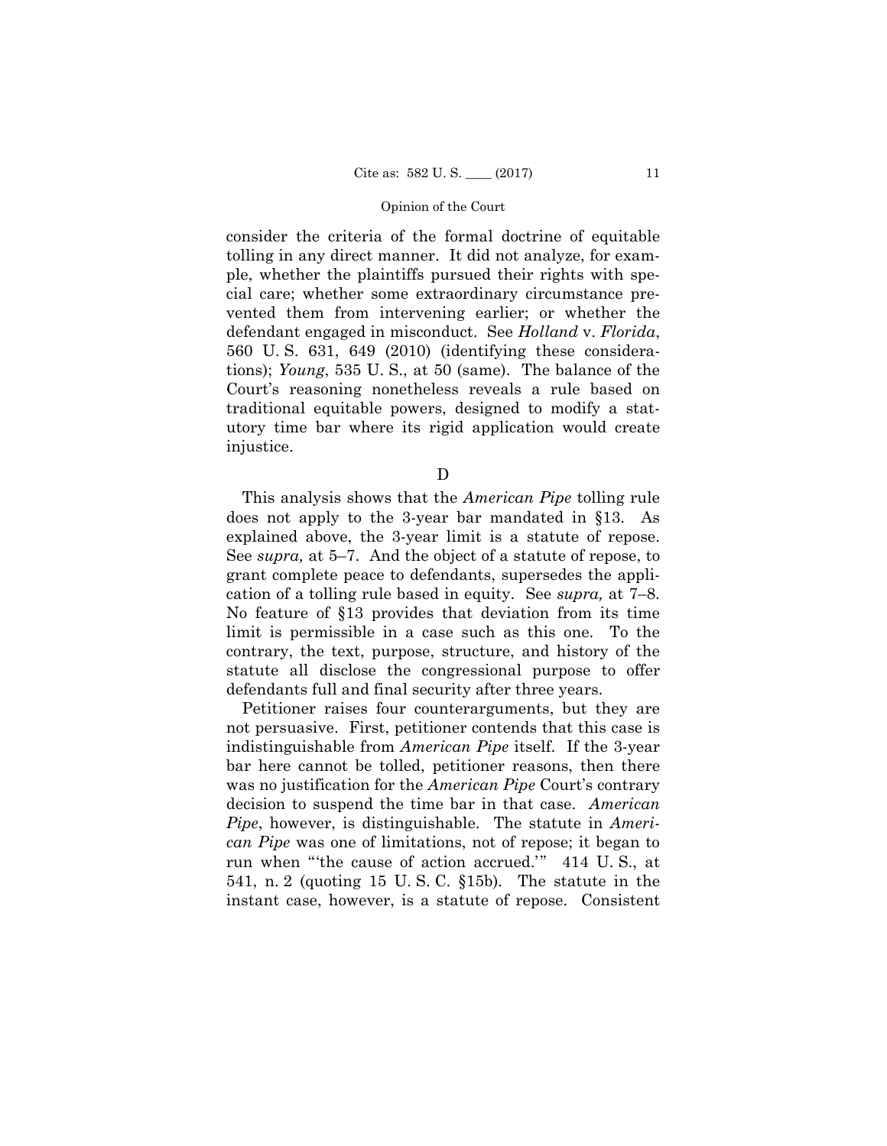consider the criteria of the formal doctrine of equitable tolling in any direct manner. It did not analyze, for example, whether the plaintiffs pursued their rights with special care; whether some extraordinary circumstance prevented them from intervening earlier; or whether the defendant engaged in misconduct. See *Holland* v. *Florida*, 560 U. S. 631, 649 (2010) (identifying these considerations); *Young*, 535 U. S., at 50 (same). The balance of the Court's reasoning nonetheless reveals a rule based on traditional equitable powers, designed to modify a statutory time bar where its rigid application would create injustice.

D

This analysis shows that the *American Pipe* tolling rule does not apply to the 3-year bar mandated in §13. As explained above, the 3-year limit is a statute of repose. See *supra,* at 5–7. And the object of a statute of repose, to grant complete peace to defendants, supersedes the application of a tolling rule based in equity. See *supra,* at 7–8. No feature of §13 provides that deviation from its time limit is permissible in a case such as this one. To the contrary, the text, purpose, structure, and history of the statute all disclose the congressional purpose to offer defendants full and final security after three years.

Petitioner raises four counterarguments, but they are not persuasive. First, petitioner contends that this case is indistinguishable from *American Pipe* itself. If the 3-year bar here cannot be tolled, petitioner reasons, then there was no justification for the *American Pipe* Court's contrary decision to suspend the time bar in that case. *American Pipe*, however, is distinguishable. The statute in *American Pipe* was one of limitations, not of repose; it began to run when "'the cause of action accrued.'" 414 U. S., at 541, n. 2 (quoting 15 U. S. C. §15b)*.* The statute in the instant case, however, is a statute of repose. Consistent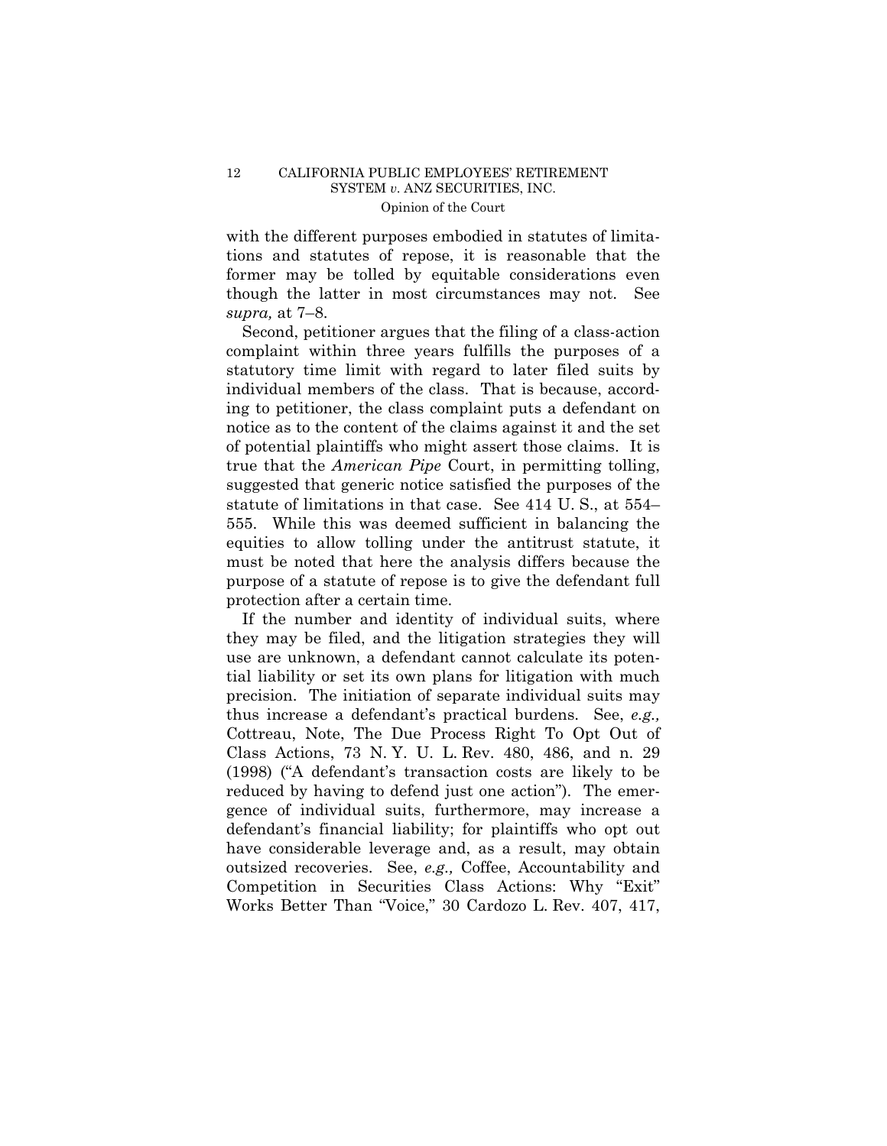# 12 CALIFORNIA PUBLIC EMPLOYEES' RETIREMENT SYSTEM *v*. ANZ SECURITIES, INC. Opinion of the Court

with the different purposes embodied in statutes of limitations and statutes of repose, it is reasonable that the former may be tolled by equitable considerations even though the latter in most circumstances may not. See *supra,* at 7–8.

Second, petitioner argues that the filing of a class-action complaint within three years fulfills the purposes of a statutory time limit with regard to later filed suits by individual members of the class. That is because, according to petitioner, the class complaint puts a defendant on notice as to the content of the claims against it and the set of potential plaintiffs who might assert those claims. It is true that the *American Pipe* Court, in permitting tolling, suggested that generic notice satisfied the purposes of the statute of limitations in that case. See 414 U. S., at 554– 555. While this was deemed sufficient in balancing the equities to allow tolling under the antitrust statute, it must be noted that here the analysis differs because the purpose of a statute of repose is to give the defendant full protection after a certain time.

If the number and identity of individual suits, where they may be filed, and the litigation strategies they will use are unknown, a defendant cannot calculate its potential liability or set its own plans for litigation with much precision. The initiation of separate individual suits may thus increase a defendant's practical burdens. See, *e.g.,* Cottreau, Note, The Due Process Right To Opt Out of Class Actions, 73 N. Y. U. L. Rev. 480, 486, and n. 29 (1998) ("A defendant's transaction costs are likely to be reduced by having to defend just one action"). The emergence of individual suits, furthermore, may increase a defendant's financial liability; for plaintiffs who opt out have considerable leverage and, as a result, may obtain outsized recoveries. See, *e.g.,* Coffee, Accountability and Competition in Securities Class Actions: Why "Exit" Works Better Than "Voice," 30 Cardozo L. Rev. 407, 417,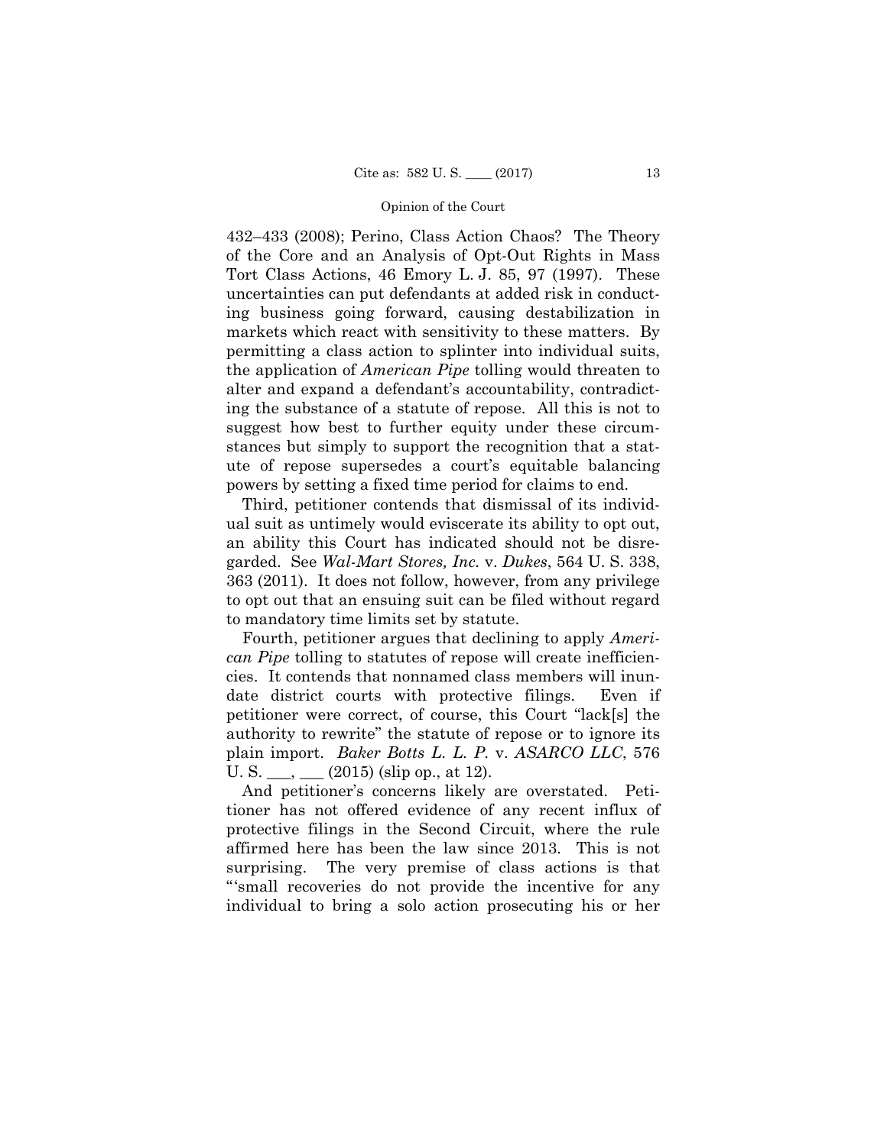432–433 (2008); Perino, Class Action Chaos? The Theory of the Core and an Analysis of Opt-Out Rights in Mass Tort Class Actions, 46 Emory L. J. 85, 97 (1997). These uncertainties can put defendants at added risk in conducting business going forward, causing destabilization in markets which react with sensitivity to these matters. By permitting a class action to splinter into individual suits, the application of *American Pipe* tolling would threaten to alter and expand a defendant's accountability, contradicting the substance of a statute of repose. All this is not to suggest how best to further equity under these circumstances but simply to support the recognition that a statute of repose supersedes a court's equitable balancing powers by setting a fixed time period for claims to end.

Third, petitioner contends that dismissal of its individual suit as untimely would eviscerate its ability to opt out, an ability this Court has indicated should not be disregarded. See *Wal-Mart Stores, Inc.* v. *Dukes*, 564 U. S. 338, 363 (2011). It does not follow, however, from any privilege to opt out that an ensuing suit can be filed without regard to mandatory time limits set by statute.

Fourth, petitioner argues that declining to apply *American Pipe* tolling to statutes of repose will create inefficiencies. It contends that nonnamed class members will inundate district courts with protective filings. Even if petitioner were correct, of course, this Court "lack[s] the authority to rewrite" the statute of repose or to ignore its plain import. *Baker Botts L. L. P.* v. *ASARCO LLC*, 576 U. S.  $\_\_$ ,  $\_\_$  (2015) (slip op., at 12).

And petitioner's concerns likely are overstated. Petitioner has not offered evidence of any recent influx of protective filings in the Second Circuit, where the rule affirmed here has been the law since 2013. This is not surprising. The very premise of class actions is that "'small recoveries do not provide the incentive for any individual to bring a solo action prosecuting his or her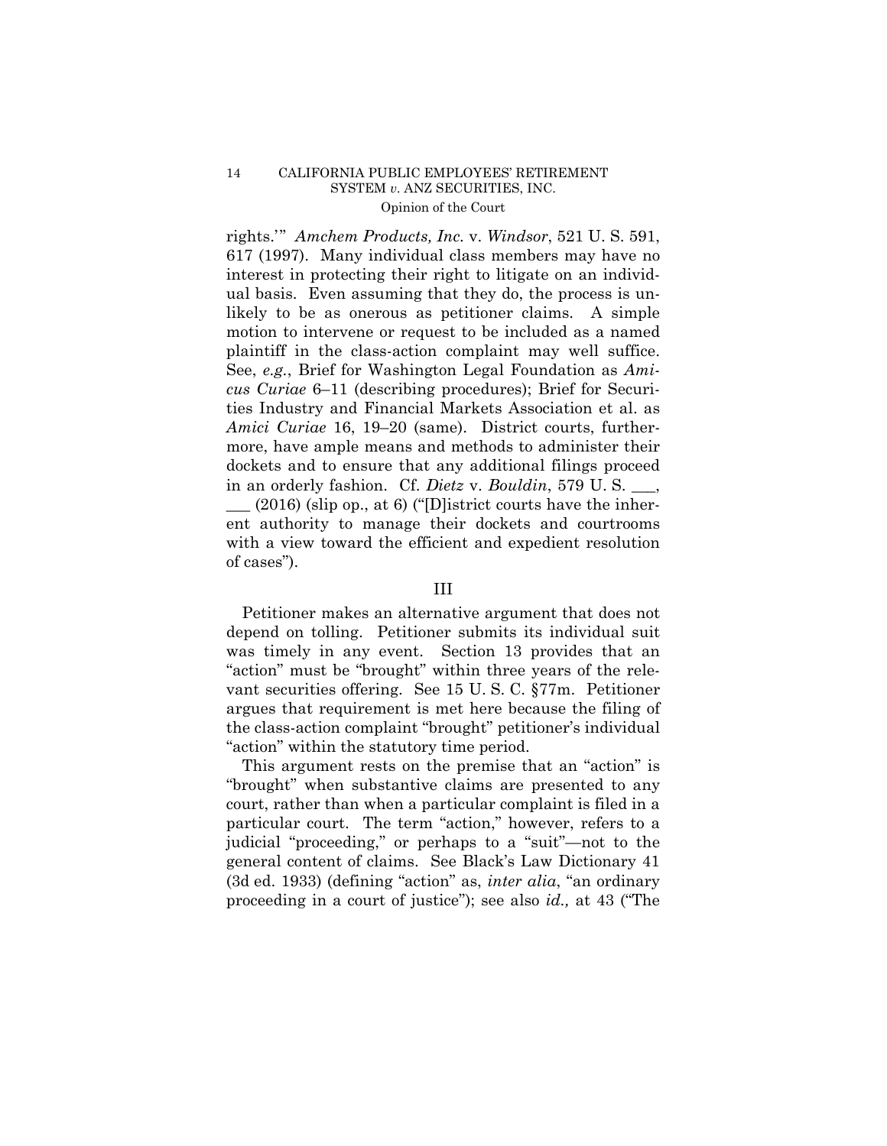# 14 CALIFORNIA PUBLIC EMPLOYEES' RETIREMENT SYSTEM *v*. ANZ SECURITIES, INC. Opinion of the Court

 ties Industry and Financial Markets Association et al. as rights.'" *Amchem Products, Inc.* v. *Windsor*, 521 U. S. 591, 617 (1997). Many individual class members may have no interest in protecting their right to litigate on an individual basis. Even assuming that they do, the process is unlikely to be as onerous as petitioner claims. A simple motion to intervene or request to be included as a named plaintiff in the class-action complaint may well suffice. See, *e.g.*, Brief for Washington Legal Foundation as *Amicus Curiae* 6–11 (describing procedures); Brief for Securi-*Amici Curiae* 16, 19–20 (same). District courts, furthermore, have ample means and methods to administer their dockets and to ensure that any additional filings proceed in an orderly fashion. Cf. *Dietz* v. *Bouldin*, 579 U. S. \_\_\_, \_\_\_ (2016) (slip op., at 6) ("[D]istrict courts have the inherent authority to manage their dockets and courtrooms with a view toward the efficient and expedient resolution of cases").

# III

Petitioner makes an alternative argument that does not depend on tolling. Petitioner submits its individual suit was timely in any event. Section 13 provides that an "action" must be "brought" within three years of the relevant securities offering. See 15 U. S. C. §77m. Petitioner argues that requirement is met here because the filing of the class-action complaint "brought" petitioner's individual "action" within the statutory time period.

This argument rests on the premise that an "action" is "brought" when substantive claims are presented to any court, rather than when a particular complaint is filed in a particular court. The term "action," however, refers to a judicial "proceeding," or perhaps to a "suit"—not to the general content of claims. See Black's Law Dictionary 41 (3d ed. 1933) (defining "action" as, *inter alia*, "an ordinary proceeding in a court of justice"); see also *id.,* at 43 ("The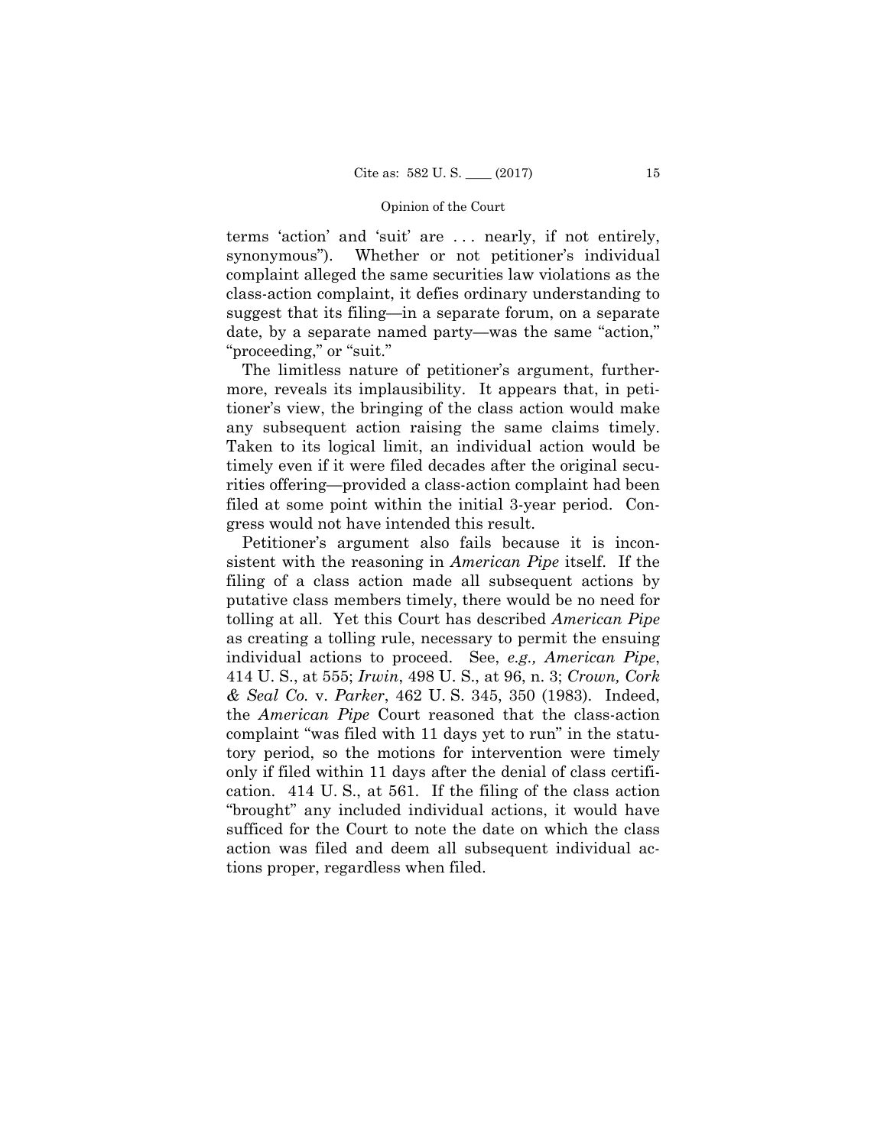terms 'action' and 'suit' are . . . nearly, if not entirely, synonymous"). Whether or not petitioner's individual complaint alleged the same securities law violations as the class-action complaint, it defies ordinary understanding to suggest that its filing—in a separate forum, on a separate date, by a separate named party—was the same "action," "proceeding," or "suit."

The limitless nature of petitioner's argument, furthermore, reveals its implausibility. It appears that, in petitioner's view, the bringing of the class action would make any subsequent action raising the same claims timely. Taken to its logical limit, an individual action would be timely even if it were filed decades after the original securities offering—provided a class-action complaint had been filed at some point within the initial 3-year period. Congress would not have intended this result.

Petitioner's argument also fails because it is inconsistent with the reasoning in *American Pipe* itself. If the filing of a class action made all subsequent actions by putative class members timely, there would be no need for tolling at all. Yet this Court has described *American Pipe* as creating a tolling rule, necessary to permit the ensuing individual actions to proceed. See, *e.g., American Pipe*, 414 U. S., at 555; *Irwin*, 498 U. S., at 96, n. 3; *Crown, Cork & Seal Co.* v. *Parker*, 462 U. S. 345, 350 (1983). Indeed, the *American Pipe* Court reasoned that the class-action complaint "was filed with 11 days yet to run" in the statutory period, so the motions for intervention were timely only if filed within 11 days after the denial of class certification. 414 U. S., at 561. If the filing of the class action "brought" any included individual actions, it would have sufficed for the Court to note the date on which the class action was filed and deem all subsequent individual actions proper, regardless when filed.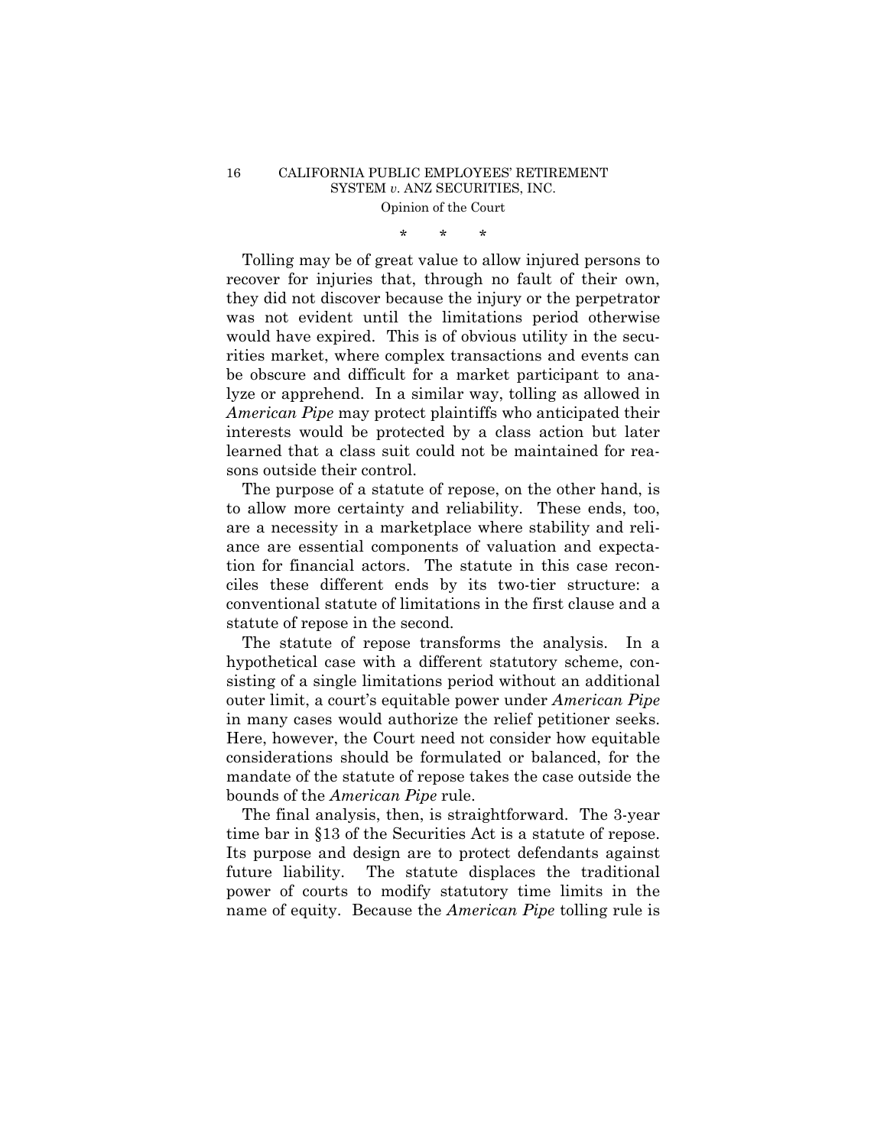# \* \* \*

Tolling may be of great value to allow injured persons to recover for injuries that, through no fault of their own, they did not discover because the injury or the perpetrator was not evident until the limitations period otherwise would have expired. This is of obvious utility in the securities market, where complex transactions and events can be obscure and difficult for a market participant to analyze or apprehend. In a similar way, tolling as allowed in *American Pipe* may protect plaintiffs who anticipated their interests would be protected by a class action but later learned that a class suit could not be maintained for reasons outside their control.

The purpose of a statute of repose, on the other hand, is to allow more certainty and reliability. These ends, too, are a necessity in a marketplace where stability and reliance are essential components of valuation and expectation for financial actors. The statute in this case reconciles these different ends by its two-tier structure: a conventional statute of limitations in the first clause and a statute of repose in the second.

The statute of repose transforms the analysis. In a hypothetical case with a different statutory scheme, consisting of a single limitations period without an additional outer limit, a court's equitable power under *American Pipe* in many cases would authorize the relief petitioner seeks. Here, however, the Court need not consider how equitable considerations should be formulated or balanced, for the mandate of the statute of repose takes the case outside the bounds of the *American Pipe* rule.

The final analysis, then, is straightforward. The 3-year time bar in §13 of the Securities Act is a statute of repose. Its purpose and design are to protect defendants against future liability. The statute displaces the traditional power of courts to modify statutory time limits in the name of equity. Because the *American Pipe* tolling rule is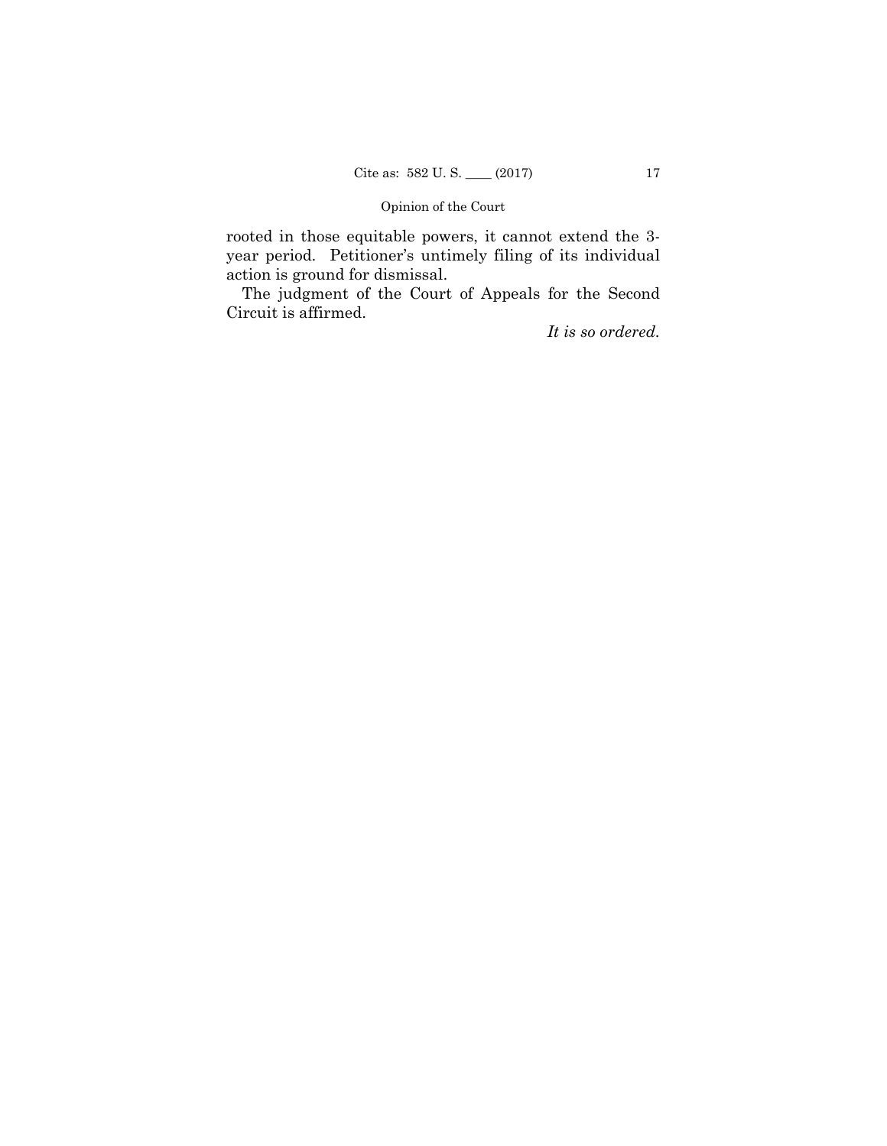rooted in those equitable powers, it cannot extend the 3 year period. Petitioner's untimely filing of its individual action is ground for dismissal.

The judgment of the Court of Appeals for the Second Circuit is affirmed.

*It is so ordered.*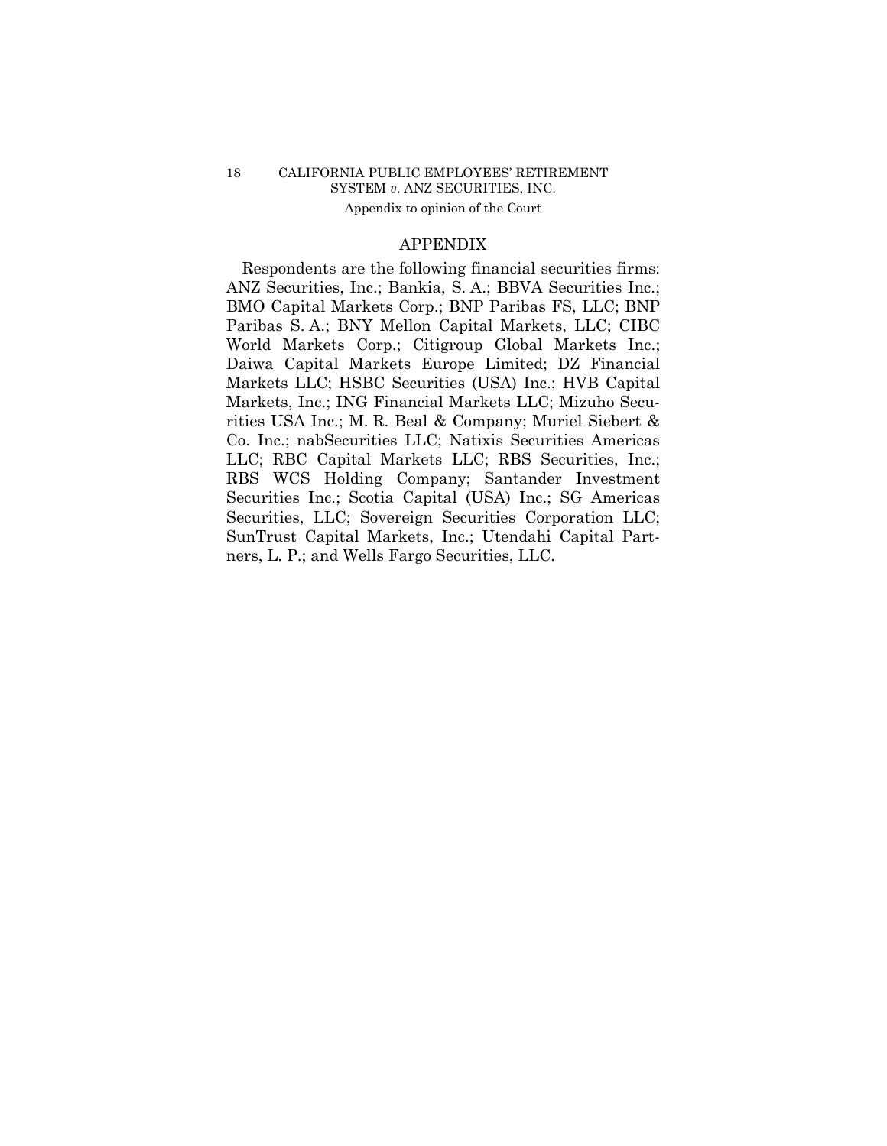# APPENDIX

Respondents are the following financial securities firms: ANZ Securities, Inc.; Bankia, S. A.; BBVA Securities Inc.; BMO Capital Markets Corp.; BNP Paribas FS, LLC; BNP Paribas S. A.; BNY Mellon Capital Markets, LLC; CIBC World Markets Corp.; Citigroup Global Markets Inc.; Daiwa Capital Markets Europe Limited; DZ Financial Markets LLC; HSBC Securities (USA) Inc.; HVB Capital Markets, Inc.; ING Financial Markets LLC; Mizuho Securities USA Inc.; M. R. Beal & Company; Muriel Siebert & Co. Inc.; nabSecurities LLC; Natixis Securities Americas LLC; RBC Capital Markets LLC; RBS Securities, Inc.; RBS WCS Holding Company; Santander Investment Securities Inc.; Scotia Capital (USA) Inc.; SG Americas Securities, LLC; Sovereign Securities Corporation LLC; SunTrust Capital Markets, Inc.; Utendahi Capital Partners, L. P.; and Wells Fargo Securities, LLC.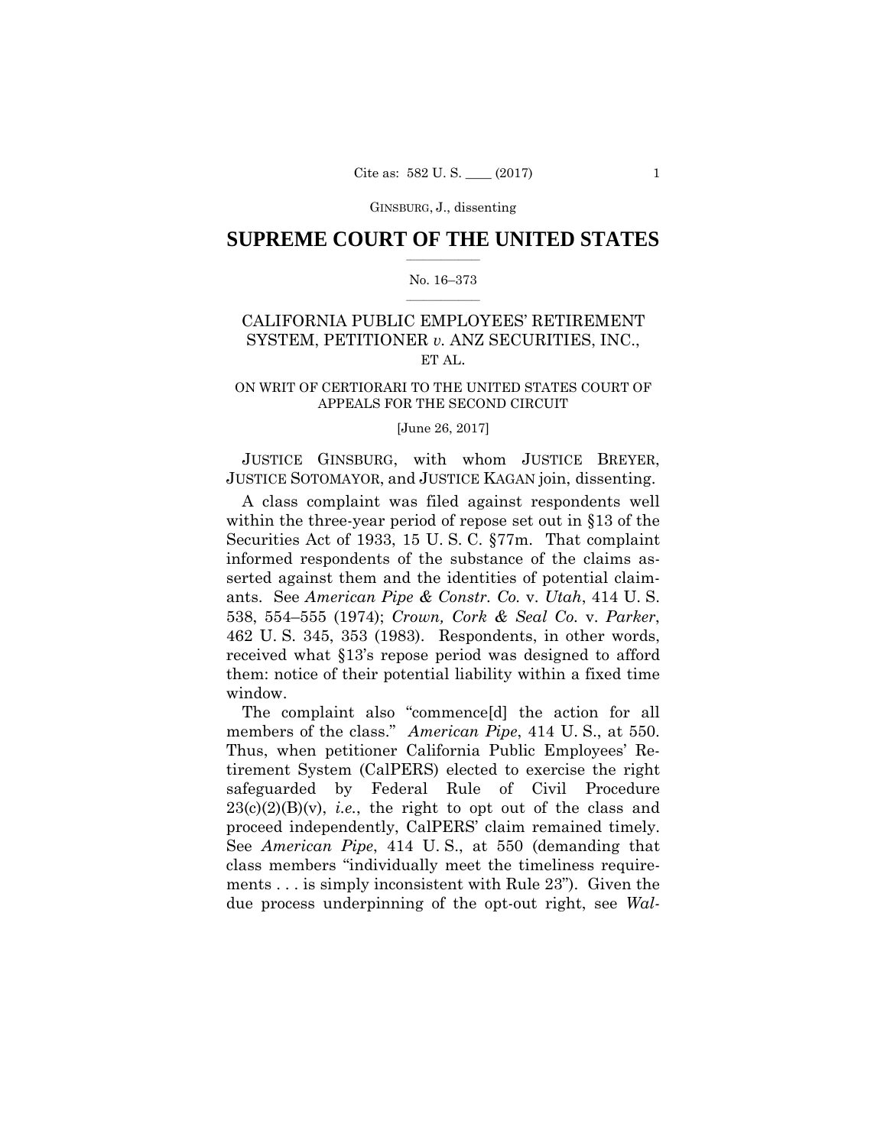GINSBURG, J., dissenting

# $\frac{1}{2}$  , where  $\frac{1}{2}$ **SUPREME COURT OF THE UNITED STATES**

#### $\frac{1}{2}$  ,  $\frac{1}{2}$  ,  $\frac{1}{2}$  ,  $\frac{1}{2}$  ,  $\frac{1}{2}$  ,  $\frac{1}{2}$ No. 16–373

# CALIFORNIA PUBLIC EMPLOYEES' RETIREMENT SYSTEM, PETITIONER *v.* ANZ SECURITIES, INC., ET AL.

#### ON WRIT OF CERTIORARI TO THE UNITED STATES COURT OF APPEALS FOR THE SECOND CIRCUIT

#### [June 26, 2017]

 JUSTICE SOTOMAYOR, and JUSTICE KAGAN join, dissenting. JUSTICE GINSBURG, with whom JUSTICE BREYER,

A class complaint was filed against respondents well within the three-year period of repose set out in §13 of the Securities Act of 1933, 15 U. S. C. §77m. That complaint informed respondents of the substance of the claims asserted against them and the identities of potential claimants. See *American Pipe & Constr. Co.* v. *Utah*, 414 U. S. 538, 554–555 (1974); *Crown, Cork & Seal Co.* v. *Parker*, 462 U. S. 345, 353 (1983). Respondents, in other words, received what §13's repose period was designed to afford them: notice of their potential liability within a fixed time window.

The complaint also "commence[d] the action for all members of the class." *American Pipe*, 414 U.S., at 550. Thus, when petitioner California Public Employees' Retirement System (CalPERS) elected to exercise the right safeguarded by Federal Rule of Civil Procedure  $23(c)(2)(B)(v)$ , *i.e.*, the right to opt out of the class and proceed independently, CalPERS' claim remained timely. See *American Pipe*, 414 U. S., at 550 (demanding that class members "individually meet the timeliness requirements . . . is simply inconsistent with Rule 23"). Given the due process underpinning of the opt-out right, see *Wal-*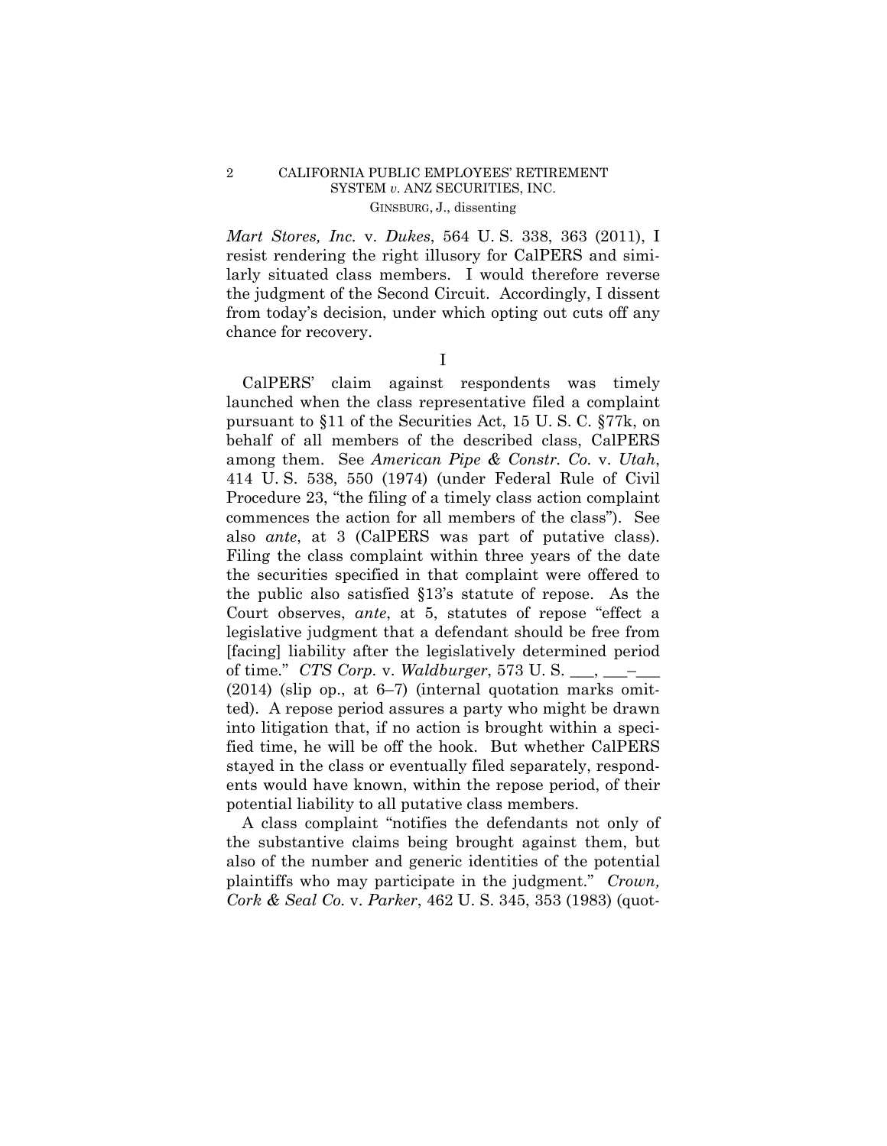# 2 CALIFORNIA PUBLIC EMPLOYEES' RETIREMENT SYSTEM *v*. ANZ SECURITIES, INC. GINSBURG, J., dissenting

*Mart Stores, Inc.* v. *Dukes*, 564 U. S. 338, 363 (2011), I resist rendering the right illusory for CalPERS and similarly situated class members. I would therefore reverse the judgment of the Second Circuit. Accordingly, I dissent from today's decision, under which opting out cuts off any chance for recovery.

I

 also *ante*, at 3 (CalPERS was part of putative class). CalPERS' claim against respondents was timely launched when the class representative filed a complaint pursuant to §11 of the Securities Act, 15 U. S. C. §77k, on behalf of all members of the described class, CalPERS among them. See *American Pipe & Constr. Co.* v. *Utah*, 414 U. S. 538, 550 (1974) (under Federal Rule of Civil Procedure 23, "the filing of a timely class action complaint commences the action for all members of the class"). See Filing the class complaint within three years of the date the securities specified in that complaint were offered to the public also satisfied §13's statute of repose. As the Court observes, *ante*, at 5, statutes of repose "effect a legislative judgment that a defendant should be free from [facing] liability after the legislatively determined period of time." *CTS Corp.* v. *Waldburger*, 573 U. S. \_\_\_, \_\_\_–\_\_\_  $(2014)$  (slip op., at 6–7) (internal quotation marks omitted). A repose period assures a party who might be drawn into litigation that, if no action is brought within a specified time, he will be off the hook. But whether CalPERS stayed in the class or eventually filed separately, respondents would have known, within the repose period, of their potential liability to all putative class members.

A class complaint "notifies the defendants not only of the substantive claims being brought against them, but also of the number and generic identities of the potential plaintiffs who may participate in the judgment." *Crown, Cork & Seal Co.* v. *Parker*, 462 U. S. 345, 353 (1983) (quot-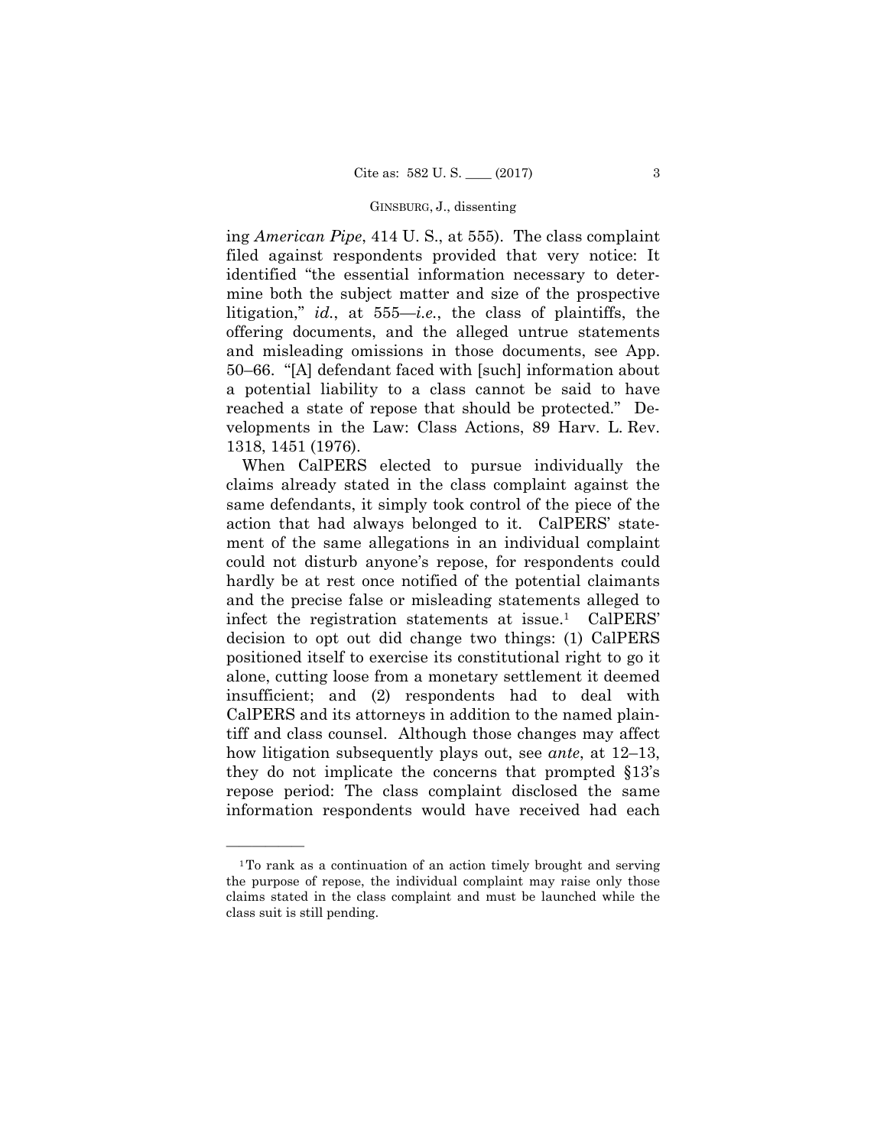#### GINSBURG, J., dissenting

ing *American Pipe*, 414 U. S., at 555). The class complaint filed against respondents provided that very notice: It identified "the essential information necessary to determine both the subject matter and size of the prospective litigation," *id.*, at 555—*i.e.*, the class of plaintiffs, the offering documents, and the alleged untrue statements and misleading omissions in those documents, see App. 50–66. "[A] defendant faced with [such] information about a potential liability to a class cannot be said to have reached a state of repose that should be protected." Developments in the Law: Class Actions, 89 Harv. L. Rev. 1318, 1451 (1976).

When CalPERS elected to pursue individually the claims already stated in the class complaint against the same defendants, it simply took control of the piece of the action that had always belonged to it. CalPERS' statement of the same allegations in an individual complaint could not disturb anyone's repose, for respondents could hardly be at rest once notified of the potential claimants and the precise false or misleading statements alleged to infect the registration statements at issue.1 CalPERS' decision to opt out did change two things: (1) CalPERS positioned itself to exercise its constitutional right to go it alone, cutting loose from a monetary settlement it deemed insufficient; and (2) respondents had to deal with CalPERS and its attorneys in addition to the named plaintiff and class counsel. Although those changes may affect how litigation subsequently plays out, see *ante*, at 12–13, they do not implicate the concerns that prompted §13's repose period: The class complaint disclosed the same information respondents would have received had each

——————

<sup>1</sup>To rank as a continuation of an action timely brought and serving the purpose of repose, the individual complaint may raise only those claims stated in the class complaint and must be launched while the class suit is still pending.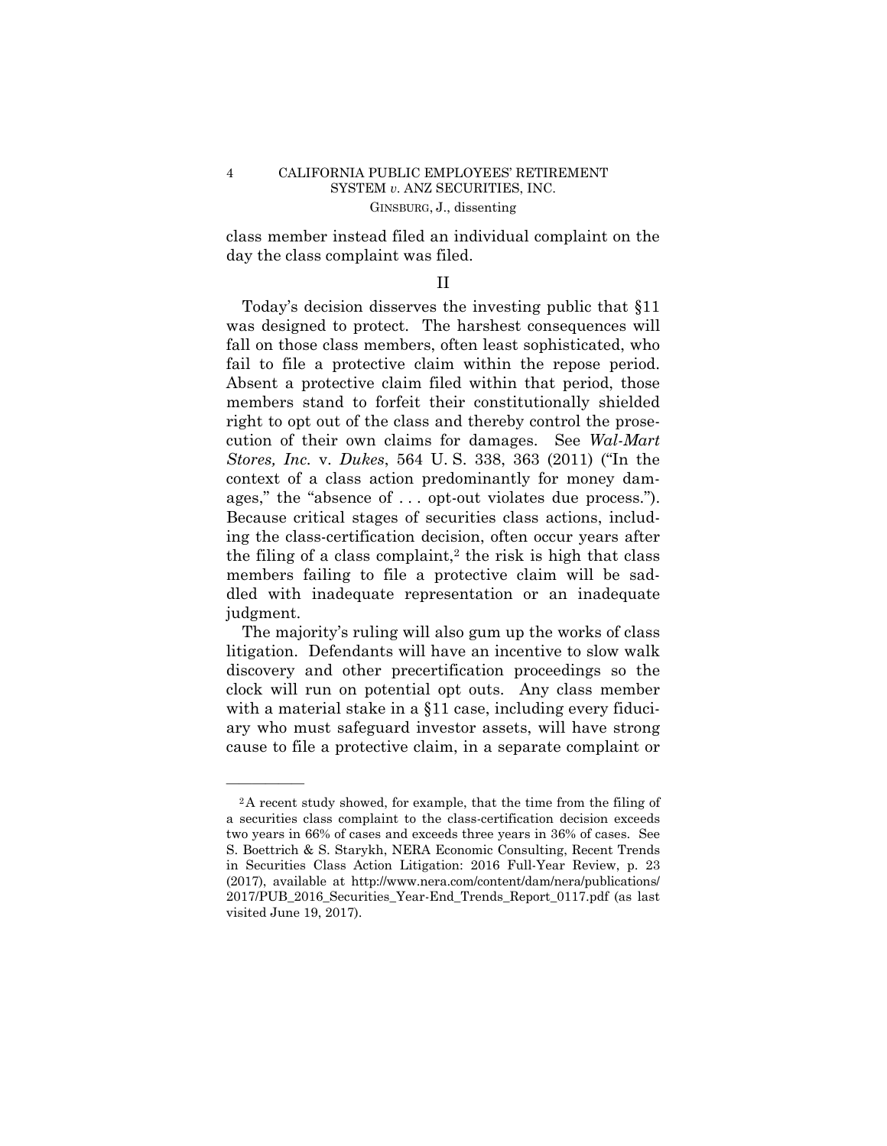class member instead filed an individual complaint on the day the class complaint was filed.

### II

Today's decision disserves the investing public that §11 was designed to protect. The harshest consequences will fall on those class members, often least sophisticated, who fail to file a protective claim within the repose period. Absent a protective claim filed within that period, those members stand to forfeit their constitutionally shielded right to opt out of the class and thereby control the prosecution of their own claims for damages. See *Wal-Mart Stores, Inc.* v. *Dukes*, 564 U. S. 338, 363 (2011) ("In the context of a class action predominantly for money damages," the "absence of . . . opt-out violates due process."). Because critical stages of securities class actions, including the class-certification decision, often occur years after the filing of a class complaint, $2$  the risk is high that class members failing to file a protective claim will be saddled with inadequate representation or an inadequate judgment.

The majority's ruling will also gum up the works of class litigation. Defendants will have an incentive to slow walk discovery and other precertification proceedings so the clock will run on potential opt outs. Any class member with a material stake in a §11 case, including every fiduciary who must safeguard investor assets, will have strong cause to file a protective claim, in a separate complaint or

——————

 two years in 66% of cases and exceeds three years in 36% of cases. See 2A recent study showed, for example, that the time from the filing of a securities class complaint to the class-certification decision exceeds S. Boettrich & S. Starykh, NERA Economic Consulting, Recent Trends in Securities Class Action Litigation: 2016 Full-Year Review, p. 23 (2017), available at http://www.nera.com/content/dam/nera/publications/ 2017/PUB\_2016\_Securities\_Year-End\_Trends\_Report\_0117.pdf (as last visited June 19, 2017).